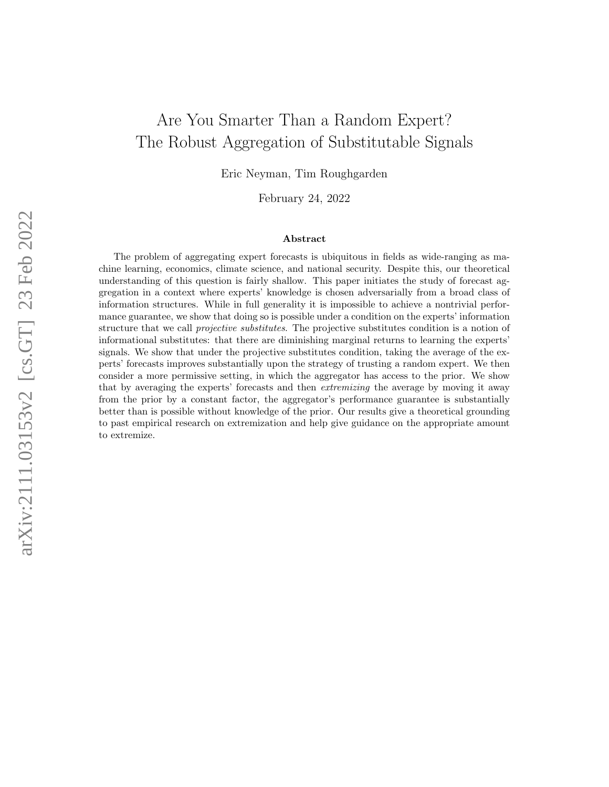# Are You Smarter Than a Random Expert? The Robust Aggregation of Substitutable Signals

Eric Neyman, Tim Roughgarden

February 24, 2022

#### Abstract

The problem of aggregating expert forecasts is ubiquitous in fields as wide-ranging as machine learning, economics, climate science, and national security. Despite this, our theoretical understanding of this question is fairly shallow. This paper initiates the study of forecast aggregation in a context where experts' knowledge is chosen adversarially from a broad class of information structures. While in full generality it is impossible to achieve a nontrivial performance guarantee, we show that doing so is possible under a condition on the experts' information structure that we call *projective substitutes*. The projective substitutes condition is a notion of informational substitutes: that there are diminishing marginal returns to learning the experts' signals. We show that under the projective substitutes condition, taking the average of the experts' forecasts improves substantially upon the strategy of trusting a random expert. We then consider a more permissive setting, in which the aggregator has access to the prior. We show that by averaging the experts' forecasts and then extremizing the average by moving it away from the prior by a constant factor, the aggregator's performance guarantee is substantially better than is possible without knowledge of the prior. Our results give a theoretical grounding to past empirical research on extremization and help give guidance on the appropriate amount to extremize.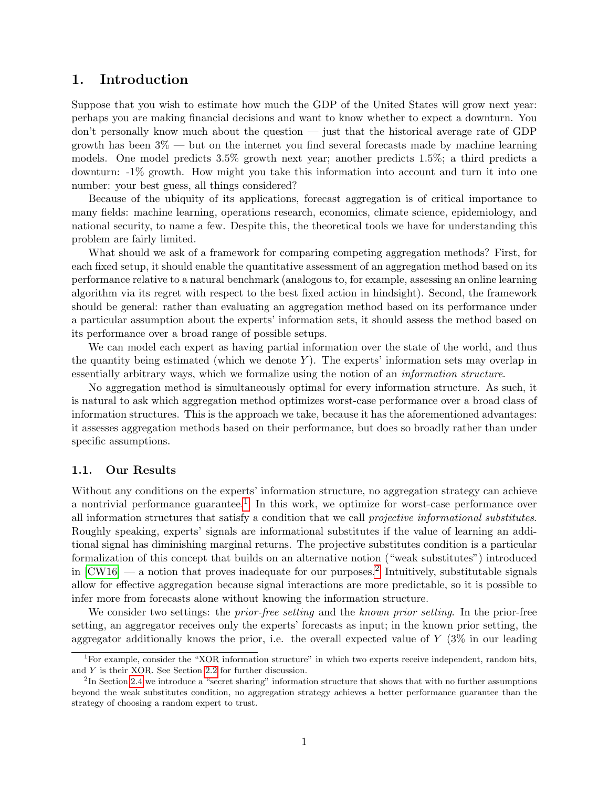### 1. Introduction

Suppose that you wish to estimate how much the GDP of the United States will grow next year: perhaps you are making financial decisions and want to know whether to expect a downturn. You don't personally know much about the question — just that the historical average rate of GDP growth has been  $3\%$  — but on the internet you find several forecasts made by machine learning models. One model predicts 3.5% growth next year; another predicts 1.5%; a third predicts a downturn: -1% growth. How might you take this information into account and turn it into one number: your best guess, all things considered?

Because of the ubiquity of its applications, forecast aggregation is of critical importance to many fields: machine learning, operations research, economics, climate science, epidemiology, and national security, to name a few. Despite this, the theoretical tools we have for understanding this problem are fairly limited.

What should we ask of a framework for comparing competing aggregation methods? First, for each fixed setup, it should enable the quantitative assessment of an aggregation method based on its performance relative to a natural benchmark (analogous to, for example, assessing an online learning algorithm via its regret with respect to the best fixed action in hindsight). Second, the framework should be general: rather than evaluating an aggregation method based on its performance under a particular assumption about the experts' information sets, it should assess the method based on its performance over a broad range of possible setups.

We can model each expert as having partial information over the state of the world, and thus the quantity being estimated (which we denote  $Y$ ). The experts' information sets may overlap in essentially arbitrary ways, which we formalize using the notion of an information structure.

No aggregation method is simultaneously optimal for every information structure. As such, it is natural to ask which aggregation method optimizes worst-case performance over a broad class of information structures. This is the approach we take, because it has the aforementioned advantages: it assesses aggregation methods based on their performance, but does so broadly rather than under specific assumptions.

### 1.1. Our Results

Without any conditions on the experts' information structure, no aggregation strategy can achieve a nontrivial performance guarantee.<sup>[1](#page-1-0)</sup> In this work, we optimize for worst-case performance over all information structures that satisfy a condition that we call projective informational substitutes. Roughly speaking, experts' signals are informational substitutes if the value of learning an additional signal has diminishing marginal returns. The projective substitutes condition is a particular formalization of this concept that builds on an alternative notion ("weak substitutes") introduced in  $\text{[CW16]}$  $\text{[CW16]}$  $\text{[CW16]}$  — a notion that proves inadequate for our purposes.<sup>[2](#page-1-1)</sup> Intuitively, substitutable signals allow for effective aggregation because signal interactions are more predictable, so it is possible to infer more from forecasts alone without knowing the information structure.

We consider two settings: the *prior-free setting* and the *known prior setting*. In the prior-free setting, an aggregator receives only the experts' forecasts as input; in the known prior setting, the aggregator additionally knows the prior, i.e. the overall expected value of  $Y$  (3% in our leading

<span id="page-1-0"></span><sup>&</sup>lt;sup>1</sup>For example, consider the "XOR information structure" in which two experts receive independent, random bits, and Y is their XOR. See Section [2.2](#page-6-0) for further discussion.

<span id="page-1-1"></span> $^{2}$ In Section [2.4](#page-7-0) we introduce a "secret sharing" information structure that shows that with no further assumptions beyond the weak substitutes condition, no aggregation strategy achieves a better performance guarantee than the strategy of choosing a random expert to trust.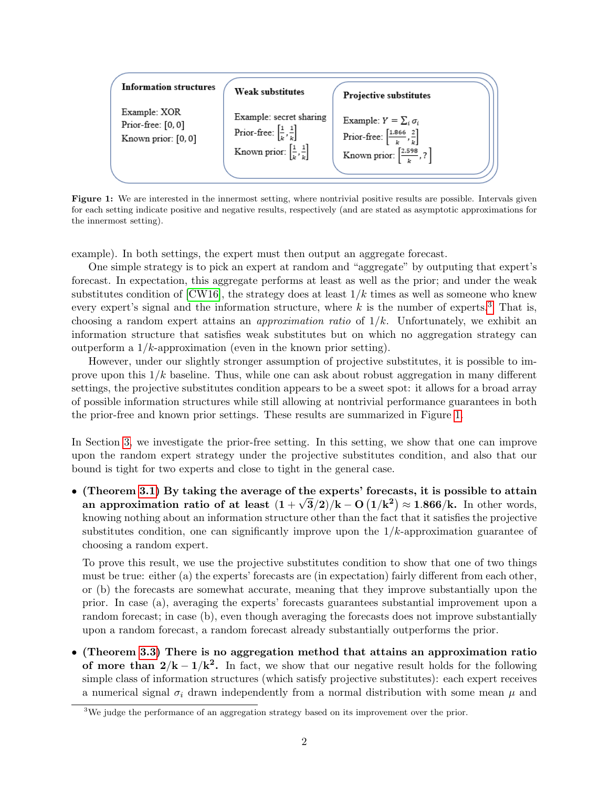<span id="page-2-1"></span>

| <b>Information structures</b> | <b>Weak substitutes</b>                              | <b>Projective substitutes</b>                           |
|-------------------------------|------------------------------------------------------|---------------------------------------------------------|
| Example: XOR                  | Example: secret sharing                              | Example: $Y = \sum_i \sigma_i$                          |
| Prior-free: [0,0]             | Prior-free: $\left[\frac{1}{k}, \frac{1}{k}\right]$  | Prior-free: $\left[\frac{1.866}{h}, \frac{2}{h}\right]$ |
| Known prior: [0, 0]           | Known prior: $\left[\frac{1}{k}, \frac{1}{k}\right]$ | Known prior: $\left[\frac{2.598}{h}, ?\right]$          |

Figure 1: We are interested in the innermost setting, where nontrivial positive results are possible. Intervals given for each setting indicate positive and negative results, respectively (and are stated as asymptotic approximations for the innermost setting).

example). In both settings, the expert must then output an aggregate forecast.

One simple strategy is to pick an expert at random and "aggregate" by outputing that expert's forecast. In expectation, this aggregate performs at least as well as the prior; and under the weak substitutes condition of  $[CW16]$ , the strategy does at least  $1/k$  times as well as someone who knew every expert's signal and the information structure, where  $k$  is the number of experts.<sup>[3](#page-2-0)</sup> That is, choosing a random expert attains an *approximation ratio* of  $1/k$ . Unfortunately, we exhibit an information structure that satisfies weak substitutes but on which no aggregation strategy can outperform a  $1/k$ -approximation (even in the known prior setting).

However, under our slightly stronger assumption of projective substitutes, it is possible to improve upon this  $1/k$  baseline. Thus, while one can ask about robust aggregation in many different settings, the projective substitutes condition appears to be a sweet spot: it allows for a broad array of possible information structures while still allowing at nontrivial performance guarantees in both the prior-free and known prior settings. These results are summarized in Figure [1.](#page-2-1)

In Section [3,](#page-12-0) we investigate the prior-free setting. In this setting, we show that one can improve upon the random expert strategy under the projective substitutes condition, and also that our bound is tight for two experts and close to tight in the general case.

• (Theorem [3.1\)](#page-12-1) By taking the average of the experts' forecasts, it is possible to attain an approximation ratio of at least  $(1+\sqrt{3}/2)/k - O(1/k^2) \approx 1.866/k$ . In other words, knowing nothing about an information structure other than the fact that it satisfies the projective substitutes condition, one can significantly improve upon the  $1/k$ -approximation guarantee of choosing a random expert.

To prove this result, we use the projective substitutes condition to show that one of two things must be true: either (a) the experts' forecasts are (in expectation) fairly different from each other, or (b) the forecasts are somewhat accurate, meaning that they improve substantially upon the prior. In case (a), averaging the experts' forecasts guarantees substantial improvement upon a random forecast; in case (b), even though averaging the forecasts does not improve substantially upon a random forecast, a random forecast already substantially outperforms the prior.

• (Theorem [3.3\)](#page-14-0) There is no aggregation method that attains an approximation ratio of more than  $2/k - 1/k^2$ . In fact, we show that our negative result holds for the following simple class of information structures (which satisfy projective substitutes): each expert receives a numerical signal  $\sigma_i$  drawn independently from a normal distribution with some mean  $\mu$  and

<span id="page-2-0"></span><sup>&</sup>lt;sup>3</sup>We judge the performance of an aggregation strategy based on its improvement over the prior.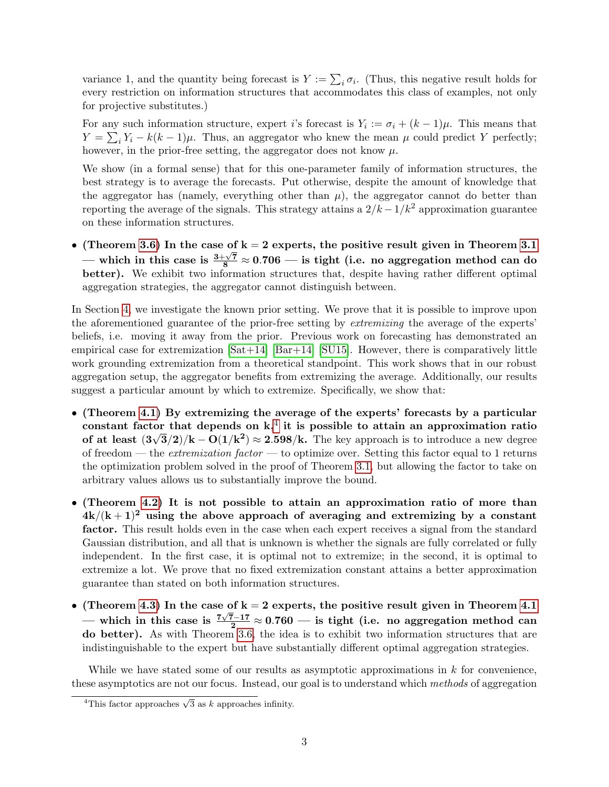variance 1, and the quantity being forecast is  $Y := \sum_i \sigma_i$ . (Thus, this negative result holds for every restriction on information structures that accommodates this class of examples, not only for projective substitutes.)

For any such information structure, expert i's forecast is  $Y_i := \sigma_i + (k-1)\mu$ . This means that  $Y = \sum_i Y_i - k(k-1)\mu$ . Thus, an aggregator who knew the mean  $\mu$  could predict Y perfectly; however, in the prior-free setting, the aggregator does not know  $\mu$ .

We show (in a formal sense) that for this one-parameter family of information structures, the best strategy is to average the forecasts. Put otherwise, despite the amount of knowledge that the aggregator has (namely, everything other than  $\mu$ ), the aggregator cannot do better than reporting the average of the signals. This strategy attains a  $2/k - 1/k^2$  approximation guarantee on these information structures.

• (Theorem [3.6\)](#page-16-0) In the case of  $k = 2$  experts, the positive result given in Theorem [3.1](#page-12-1) — which in this case is  $\frac{3+\sqrt{7}}{8} \approx 0.706$  — is tight (i.e. no aggregation method can do better). We exhibit two information structures that, despite having rather different optimal aggregation strategies, the aggregator cannot distinguish between.

In Section [4,](#page-17-0) we investigate the known prior setting. We prove that it is possible to improve upon the aforementioned guarantee of the prior-free setting by extremizing the average of the experts' beliefs, i.e. moving it away from the prior. Previous work on forecasting has demonstrated an empirical case for extremization  $[Sat+14]$   $[Bar+14]$   $[SU15]$ . However, there is comparatively little work grounding extremization from a theoretical standpoint. This work shows that in our robust aggregation setup, the aggregator benefits from extremizing the average. Additionally, our results suggest a particular amount by which to extremize. Specifically, we show that:

- (Theorem [4.1\)](#page-17-1) By extremizing the average of the experts' forecasts by a particular constant factor that depends on  $k<sup>4</sup>$  $k<sup>4</sup>$  $k<sup>4</sup>$  it is possible to attain an approximation ratio of at least  $(3\sqrt{3}/2)/k - O(1/k^2) \approx 2.598/k$ . The key approach is to introduce a new degree of freedom — the *extremization factor* — to optimize over. Setting this factor equal to 1 returns the optimization problem solved in the proof of Theorem [3.1,](#page-12-1) but allowing the factor to take on arbitrary values allows us to substantially improve the bound.
- (Theorem [4.2\)](#page-18-0) It is not possible to attain an approximation ratio of more than  $4k/(k+1)^2$  using the above approach of averaging and extremizing by a constant factor. This result holds even in the case when each expert receives a signal from the standard Gaussian distribution, and all that is unknown is whether the signals are fully correlated or fully independent. In the first case, it is optimal not to extremize; in the second, it is optimal to extremize a lot. We prove that no fixed extremization constant attains a better approximation guarantee than stated on both information structures.
- (Theorem [4.3\)](#page-19-0) In the case of  $k = 2$  experts, the positive result given in Theorem [4.1](#page-17-1) — which in this case is  $\frac{7\sqrt{7}-17}{2} \approx 0.760$  — is tight (i.e. no aggregation method can do better). As with Theorem [3.6,](#page-16-0) the idea is to exhibit two information structures that are indistinguishable to the expert but have substantially different optimal aggregation strategies.

While we have stated some of our results as asymptotic approximations in  $k$  for convenience, these asymptotics are not our focus. Instead, our goal is to understand which methods of aggregation

<span id="page-3-0"></span> $\frac{4 \text{This factor approaches } \sqrt{3} \text{ as } k \text{ approaches infinity.}}$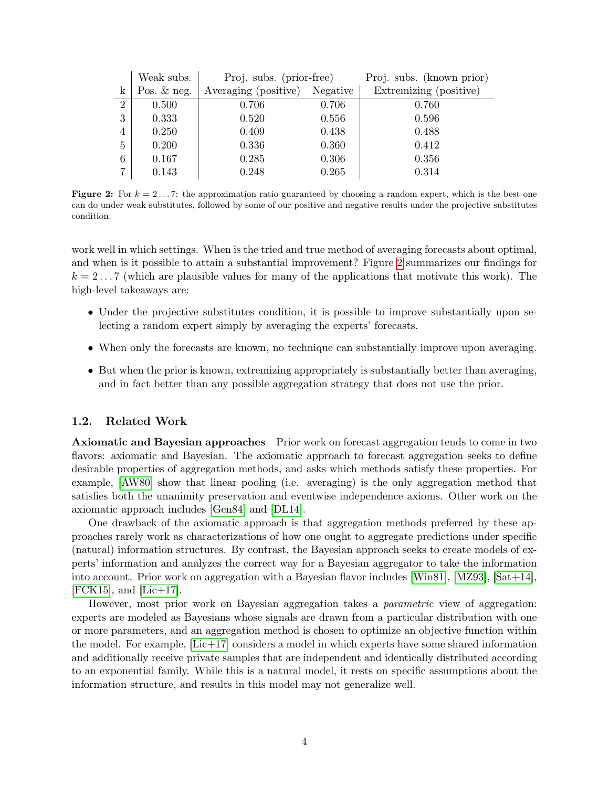<span id="page-4-0"></span>

|                | Weak subs.    | Proj. subs. (prior-free) |          | Proj. subs. (known prior) |
|----------------|---------------|--------------------------|----------|---------------------------|
| $\mathbf{k}$   | Pos. $&$ neg. | Averaging (positive)     | Negative | Extremizing (positive)    |
| $\overline{2}$ | 0.500         | 0.706                    | 0.706    | 0.760                     |
| 3              | 0.333         | 0.520                    | 0.556    | 0.596                     |
| 4              | 0.250         | 0.409                    | 0.438    | 0.488                     |
| $5^{\circ}$    | 0.200         | 0.336                    | 0.360    | 0.412                     |
| 6              | 0.167         | 0.285                    | 0.306    | 0.356                     |
|                | 0.143         | 0.248                    | 0.265    | 0.314                     |

**Figure 2:** For  $k = 2...7$ : the approximation ratio guaranteed by choosing a random expert, which is the best one can do under weak substitutes, followed by some of our positive and negative results under the projective substitutes condition.

work well in which settings. When is the tried and true method of averaging forecasts about optimal, and when is it possible to attain a substantial improvement? Figure [2](#page-4-0) summarizes our findings for  $k = 2...7$  (which are plausible values for many of the applications that motivate this work). The high-level takeaways are:

- Under the projective substitutes condition, it is possible to improve substantially upon selecting a random expert simply by averaging the experts' forecasts.
- When only the forecasts are known, no technique can substantially improve upon averaging.
- But when the prior is known, extremizing appropriately is substantially better than averaging, and in fact better than any possible aggregation strategy that does not use the prior.

### 1.2. Related Work

Axiomatic and Bayesian approaches Prior work on forecast aggregation tends to come in two flavors: axiomatic and Bayesian. The axiomatic approach to forecast aggregation seeks to define desirable properties of aggregation methods, and asks which methods satisfy these properties. For example, [\[AW80\]](#page-20-2) show that linear pooling (i.e. averaging) is the only aggregation method that satisfies both the unanimity preservation and eventwise independence axioms. Other work on the axiomatic approach includes [\[Gen84\]](#page-20-3) and [\[DL14\]](#page-20-4).

One drawback of the axiomatic approach is that aggregation methods preferred by these approaches rarely work as characterizations of how one ought to aggregate predictions under specific (natural) information structures. By contrast, the Bayesian approach seeks to create models of experts' information and analyzes the correct way for a Bayesian aggregator to take the information into account. Prior work on aggregation with a Bayesian flavor includes [\[Win81\]](#page-21-2), [\[MZ93\]](#page-21-3), [\[Sat+14\]](#page-21-0),  $[FCK15]$ , and  $[Lic+17]$ .

However, most prior work on Bayesian aggregation takes a *parametric* view of aggregation: experts are modeled as Bayesians whose signals are drawn from a particular distribution with one or more parameters, and an aggregation method is chosen to optimize an objective function within the model. For example, [\[Lic+17\]](#page-21-4) considers a model in which experts have some shared information and additionally receive private samples that are independent and identically distributed according to an exponential family. While this is a natural model, it rests on specific assumptions about the information structure, and results in this model may not generalize well.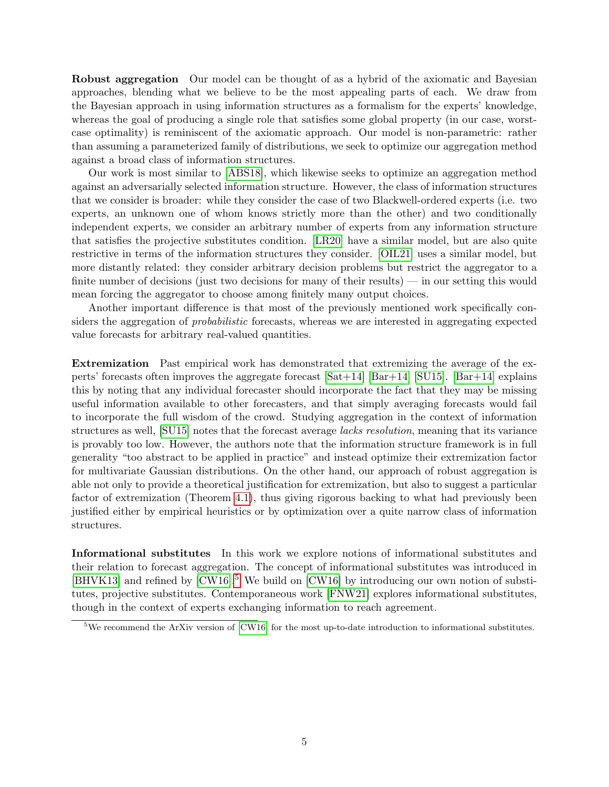Robust aggregation Our model can be thought of as a hybrid of the axiomatic and Bayesian approaches, blending what we believe to be the most appealing parts of each. We draw from the Bayesian approach in using information structures as a formalism for the experts' knowledge, whereas the goal of producing a single role that satisfies some global property (in our case, worstcase optimality) is reminiscent of the axiomatic approach. Our model is non-parametric: rather than assuming a parameterized family of distributions, we seek to optimize our aggregation method against a broad class of information structures.

Our work is most similar to [\[ABS18\]](#page-20-6), which likewise seeks to optimize an aggregation method against an adversarially selected information structure. However, the class of information structures that we consider is broader: while they consider the case of two Blackwell-ordered experts (i.e. two experts, an unknown one of whom knows strictly more than the other) and two conditionally independent experts, we consider an arbitrary number of experts from any information structure that satisfies the projective substitutes condition. [\[LR20\]](#page-21-5) have a similar model, but are also quite restrictive in terms of the information structures they consider. [\[OIL21\]](#page-21-6) uses a similar model, but more distantly related: they consider arbitrary decision problems but restrict the aggregator to a finite number of decisions (just two decisions for many of their results) — in our setting this would mean forcing the aggregator to choose among finitely many output choices.

Another important difference is that most of the previously mentioned work specifically considers the aggregation of *probabilistic* forecasts, whereas we are interested in aggregating expected value forecasts for arbitrary real-valued quantities.

Extremization Past empirical work has demonstrated that extremizing the average of the experts' forecasts often improves the aggregate forecast  $[Sat+14]$   $[Bar+14]$   $[SU15]$ .  $[Bar+14]$  explains this by noting that any individual forecaster should incorporate the fact that they may be missing useful information available to other forecasters, and that simply averaging forecasts would fail to incorporate the full wisdom of the crowd. Studying aggregation in the context of information structures as well, [\[SU15\]](#page-21-1) notes that the forecast average lacks resolution, meaning that its variance is provably too low. However, the authors note that the information structure framework is in full generality "too abstract to be applied in practice" and instead optimize their extremization factor for multivariate Gaussian distributions. On the other hand, our approach of robust aggregation is able not only to provide a theoretical justification for extremization, but also to suggest a particular factor of extremization (Theorem [4.1\)](#page-17-1), thus giving rigorous backing to what had previously been justified either by empirical heuristics or by optimization over a quite narrow class of information structures.

Informational substitutes In this work we explore notions of informational substitutes and their relation to forecast aggregation. The concept of informational substitutes was introduced in [\[BHVK13\]](#page-20-7) and refined by  $\text{[CW16]}$  $\text{[CW16]}$  $\text{[CW16]}$ <sup>[5](#page-5-0)</sup> We build on  $\text{[CW16]}$  by introducing our own notion of substitutes, projective substitutes. Contemporaneous work [\[FNW21\]](#page-20-8) explores informational substitutes, though in the context of experts exchanging information to reach agreement.

<span id="page-5-0"></span><sup>&</sup>lt;sup>5</sup>We recommend the ArXiv version of  $\text{[CW16]}$  $\text{[CW16]}$  $\text{[CW16]}$  for the most up-to-date introduction to informational substitutes.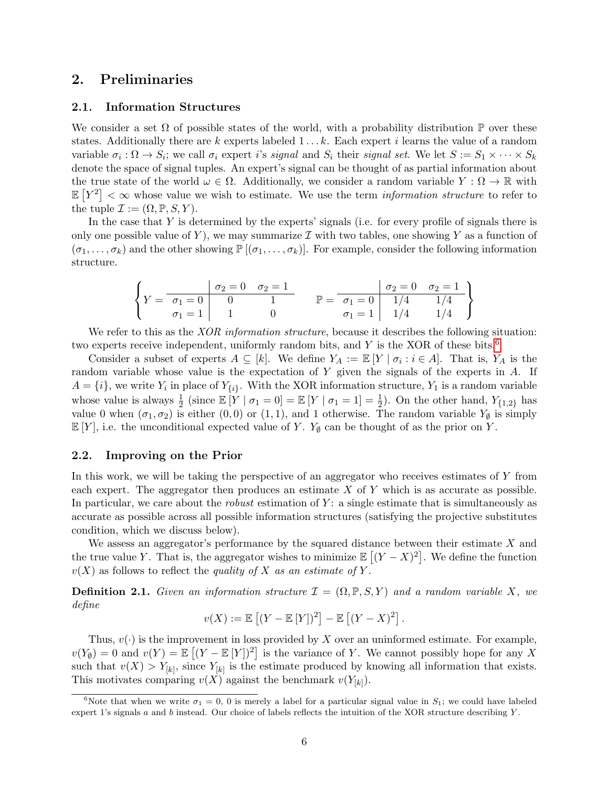### 2. Preliminaries

#### 2.1. Information Structures

We consider a set  $\Omega$  of possible states of the world, with a probability distribution  $\mathbb P$  over these states. Additionally there are k experts labeled  $1 \ldots k$ . Each expert i learns the value of a random variable  $\sigma_i : \Omega \to S_i$ ; we call  $\sigma_i$  expert i's signal and  $S_i$  their signal set. We let  $S := S_1 \times \cdots \times S_k$ denote the space of signal tuples. An expert's signal can be thought of as partial information about the true state of the world  $\omega \in \Omega$ . Additionally, we consider a random variable  $Y : \Omega \to \mathbb{R}$  with  $\mathbb{E}[Y^2]<\infty$  whose value we wish to estimate. We use the term *information structure* to refer to the tuple  $\mathcal{I} := (\Omega, \mathbb{P}, S, Y)$ .

In the case that  $Y$  is determined by the experts' signals (i.e. for every profile of signals there is only one possible value of Y), we may summarize  $\mathcal I$  with two tables, one showing Y as a function of  $(\sigma_1, \ldots, \sigma_k)$  and the other showing  $\mathbb{P}[(\sigma_1, \ldots, \sigma_k)]$ . For example, consider the following information structure.

$$
\left\{ Y = \begin{array}{c|c c c c c c c c c c c c c} & \sigma_2 = 0 & \sigma_2 = 1 & \sigma_2 = 0 & \sigma_2 = 1 \\ \sigma_1 = 0 & 0 & 1 & \sigma_1 = 0 & 1/4 & 1/4 \\ \sigma_1 = 1 & 1 & 0 & \sigma_1 = 1 & 1/4 & 1/4 \end{array} \right\}
$$

We refer to this as the *XOR information structure*, because it describes the following situation: two experts receive independent, uniformly random bits, and  $Y$  is the XOR of these bits.<sup>[6](#page-6-1)</sup>

Consider a subset of experts  $A \subseteq [k]$ . We define  $Y_A := \mathbb{E}[Y \mid \sigma_i : i \in A]$ . That is,  $Y_A$  is the random variable whose value is the expectation of  $Y$  given the signals of the experts in  $A$ . If  $A = \{i\}$ , we write  $Y_i$  in place of  $Y_{\{i\}}$ . With the XOR information structure,  $Y_1$  is a random variable whose value is always  $\frac{1}{2}$  (since  $\mathbb{E}[Y | \sigma_1 = 0] = \mathbb{E}[Y | \sigma_1 = 1] = \frac{1}{2}$ ). On the other hand,  $Y_{\{1,2\}}$  has value 0 when  $(\sigma_1, \sigma_2)$  is either  $(0, 0)$  or  $(1, 1)$ , and 1 otherwise. The random variable  $Y_{\emptyset}$  is simply  $\mathbb{E}[Y]$ , i.e. the unconditional expected value of Y.  $Y_{\emptyset}$  can be thought of as the prior on Y.

### <span id="page-6-0"></span>2.2. Improving on the Prior

In this work, we will be taking the perspective of an aggregator who receives estimates of Y from each expert. The aggregator then produces an estimate  $X$  of  $Y$  which is as accurate as possible. In particular, we care about the *robust* estimation of  $Y$ : a single estimate that is simultaneously as accurate as possible across all possible information structures (satisfying the projective substitutes condition, which we discuss below).

We assess an aggregator's performance by the squared distance between their estimate  $X$  and the true value Y. That is, the aggregator wishes to minimize  $\mathbb{E}[(Y - X)^2]$ . We define the function  $v(X)$  as follows to reflect the quality of X as an estimate of Y.

**Definition 2.1.** Given an information structure  $\mathcal{I} = (\Omega, \mathbb{P}, S, Y)$  and a random variable X, we define

$$
v(X) := \mathbb{E}\left[ (Y - \mathbb{E}[Y])^2 \right] - \mathbb{E}\left[ (Y - X)^2 \right].
$$

Thus,  $v(\cdot)$  is the improvement in loss provided by X over an uninformed estimate. For example,  $v(Y_{\emptyset}) = 0$  and  $v(Y) = \mathbb{E}[(Y - \mathbb{E}[Y])^2]$  is the variance of Y. We cannot possibly hope for any X such that  $v(X) > Y_{[k]}$ , since  $Y_{[k]}$  is the estimate produced by knowing all information that exists. This motivates comparing  $v(X)$  against the benchmark  $v(Y_{[k]})$ .

<span id="page-6-1"></span><sup>&</sup>lt;sup>6</sup>Note that when we write  $\sigma_1 = 0$ , 0 is merely a label for a particular signal value in  $S_1$ ; we could have labeled expert 1's signals  $a$  and  $b$  instead. Our choice of labels reflects the intuition of the XOR structure describing  $Y$ .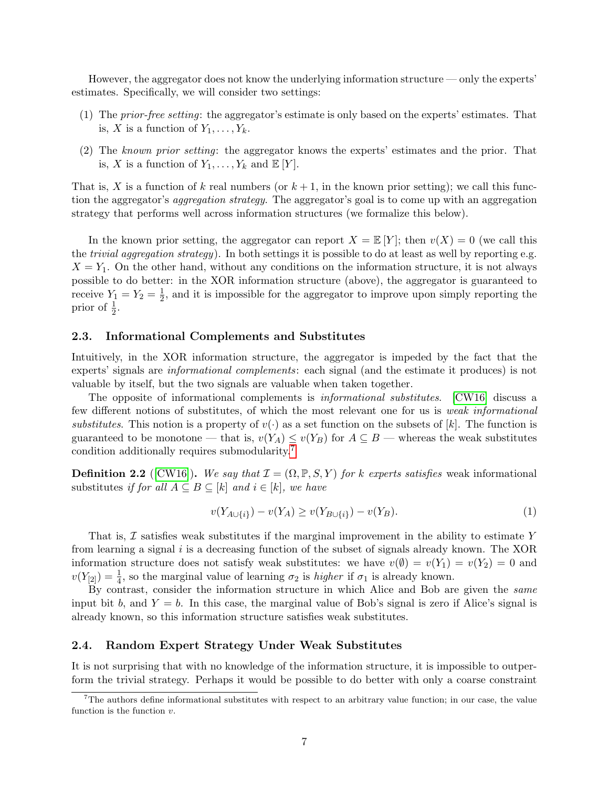However, the aggregator does not know the underlying information structure — only the experts' estimates. Specifically, we will consider two settings:

- (1) The prior-free setting: the aggregator's estimate is only based on the experts' estimates. That is, X is a function of  $Y_1, \ldots, Y_k$ .
- (2) The known prior setting: the aggregator knows the experts' estimates and the prior. That is, X is a function of  $Y_1, \ldots, Y_k$  and  $\mathbb{E}[Y]$ .

That is, X is a function of k real numbers (or  $k + 1$ , in the known prior setting); we call this function the aggregator's aggregation strategy. The aggregator's goal is to come up with an aggregation strategy that performs well across information structures (we formalize this below).

In the known prior setting, the aggregator can report  $X = \mathbb{E}[Y]$ ; then  $v(X) = 0$  (we call this the *trivial aggregation strategy*). In both settings it is possible to do at least as well by reporting e.g.  $X = Y_1$ . On the other hand, without any conditions on the information structure, it is not always possible to do better: in the XOR information structure (above), the aggregator is guaranteed to receive  $Y_1 = Y_2 = \frac{1}{2}$  $\frac{1}{2}$ , and it is impossible for the aggregator to improve upon simply reporting the prior of  $\frac{1}{2}$ .

### 2.3. Informational Complements and Substitutes

Intuitively, in the XOR information structure, the aggregator is impeded by the fact that the experts' signals are informational complements: each signal (and the estimate it produces) is not valuable by itself, but the two signals are valuable when taken together.

The opposite of informational complements is informational substitutes. [\[CW16\]](#page-20-0) discuss a few different notions of substitutes, of which the most relevant one for us is weak informational substitutes. This notion is a property of  $v(\cdot)$  as a set function on the subsets of [k]. The function is guaranteed to be monotone — that is,  $v(Y_A) \leq v(Y_B)$  for  $A \subseteq B$  — whereas the weak substitutes condition additionally requires submodularity.[7](#page-7-1)

**Definition 2.2** ([\[CW16\]](#page-20-0)). We say that  $\mathcal{I} = (\Omega, \mathbb{P}, S, Y)$  for k experts satisfies weak informational substitutes if for all  $A \subseteq B \subseteq [k]$  and  $i \in [k]$ , we have

<span id="page-7-2"></span>
$$
v(Y_{A \cup \{i\}}) - v(Y_A) \ge v(Y_{B \cup \{i\}}) - v(Y_B). \tag{1}
$$

That is,  $\mathcal I$  satisfies weak substitutes if the marginal improvement in the ability to estimate Y from learning a signal  $i$  is a decreasing function of the subset of signals already known. The XOR information structure does not satisfy weak substitutes: we have  $v(\emptyset) = v(Y_1) = v(Y_2) = 0$  and  $v(Y_{[2]}) = \frac{1}{4}$ , so the marginal value of learning  $\sigma_2$  is *higher* if  $\sigma_1$  is already known.

By contrast, consider the information structure in which Alice and Bob are given the same input bit b, and  $Y = b$ . In this case, the marginal value of Bob's signal is zero if Alice's signal is already known, so this information structure satisfies weak substitutes.

### <span id="page-7-0"></span>2.4. Random Expert Strategy Under Weak Substitutes

It is not surprising that with no knowledge of the information structure, it is impossible to outperform the trivial strategy. Perhaps it would be possible to do better with only a coarse constraint

<span id="page-7-1"></span> $7$ The authors define informational substitutes with respect to an arbitrary value function; in our case, the value function is the function v.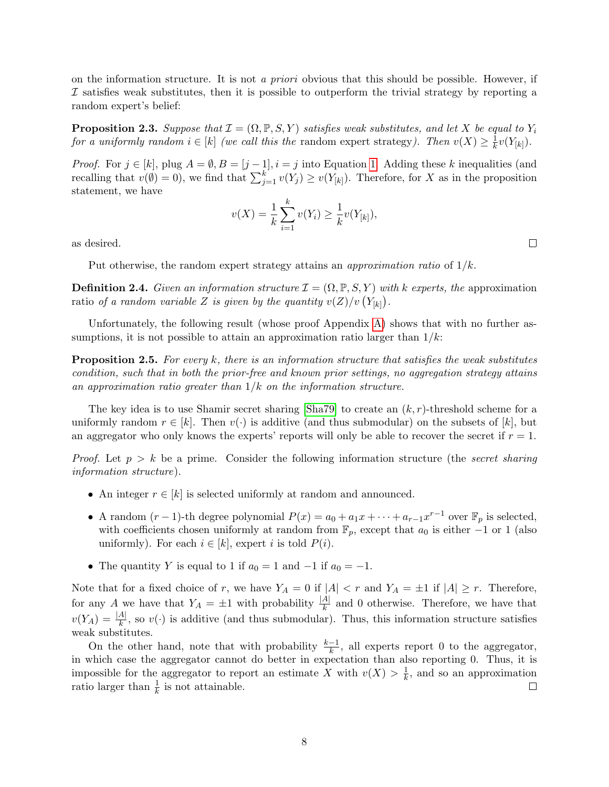on the information structure. It is not a priori obvious that this should be possible. However, if  $I$  satisfies weak substitutes, then it is possible to outperform the trivial strategy by reporting a random expert's belief:

<span id="page-8-0"></span>**Proposition 2.3.** Suppose that  $\mathcal{I} = (\Omega, \mathbb{P}, S, Y)$  satisfies weak substitutes, and let X be equal to  $Y_i$ for a uniformly random  $i \in [k]$  (we call this the random expert strategy). Then  $v(X) \geq \frac{1}{k}$  $\frac{1}{k}v(Y_{[k]})$ .

*Proof.* For  $j \in [k]$ , plug  $A = \emptyset$ ,  $B = [j-1], i = j$  into Equation [1.](#page-7-2) Adding these k inequalities (and recalling that  $v(\emptyset) = 0$ , we find that  $\sum_{j=1}^{k} v(Y_j) \ge v(Y_{[k]})$ . Therefore, for X as in the proposition statement, we have

$$
v(X) = \frac{1}{k} \sum_{i=1}^{k} v(Y_i) \ge \frac{1}{k} v(Y_{[k]}),
$$

as desired.

Put otherwise, the random expert strategy attains an *approximation ratio* of  $1/k$ .

**Definition 2.4.** Given an information structure  $\mathcal{I} = (\Omega, \mathbb{P}, S, Y)$  with k experts, the approximation ratio of a random variable Z is given by the quantity  $v(Z)/v(Y_{[k]})$ .

Unfortunately, the following result (whose proof Appendix [A\)](#page-21-7) shows that with no further assumptions, it is not possible to attain an approximation ratio larger than  $1/k$ :

Proposition 2.5. For every k, there is an information structure that satisfies the weak substitutes condition, such that in both the prior-free and known prior settings, no aggregation strategy attains an approximation ratio greater than  $1/k$  on the information structure.

The key idea is to use Shamir secret sharing [\[Sha79\]](#page-21-8) to create an  $(k, r)$ -threshold scheme for a uniformly random  $r \in [k]$ . Then  $v(\cdot)$  is additive (and thus submodular) on the subsets of [k], but an aggregator who only knows the experts' reports will only be able to recover the secret if  $r = 1$ .

*Proof.* Let  $p > k$  be a prime. Consider the following information structure (the secret sharing information structure).

- An integer  $r \in [k]$  is selected uniformly at random and announced.
- A random  $(r-1)$ -th degree polynomial  $P(x) = a_0 + a_1x + \cdots + a_{r-1}x^{r-1}$  over  $\mathbb{F}_p$  is selected, with coefficients chosen uniformly at random from  $\mathbb{F}_p$ , except that  $a_0$  is either -1 or 1 (also uniformly). For each  $i \in [k]$ , expert i is told  $P(i)$ .
- The quantity Y is equal to 1 if  $a_0 = 1$  and  $-1$  if  $a_0 = -1$ .

Note that for a fixed choice of r, we have  $Y_A = 0$  if  $|A| < r$  and  $Y_A = \pm 1$  if  $|A| \geq r$ . Therefore, for any A we have that  $Y_A = \pm 1$  with probability  $\frac{|A|}{k}$  and 0 otherwise. Therefore, we have that  $v(Y_A) = \frac{|A|}{k}$ , so  $v(\cdot)$  is additive (and thus submodular). Thus, this information structure satisfies weak substitutes.

On the other hand, note that with probability  $\frac{k-1}{k}$ , all experts report 0 to the aggregator, in which case the aggregator cannot do better in expectation than also reporting 0. Thus, it is impossible for the aggregator to report an estimate X with  $v(X) > \frac{1}{k}$  $\frac{1}{k}$ , and so an approximation ratio larger than  $\frac{1}{k}$  is not attainable.  $\Box$ 

 $\Box$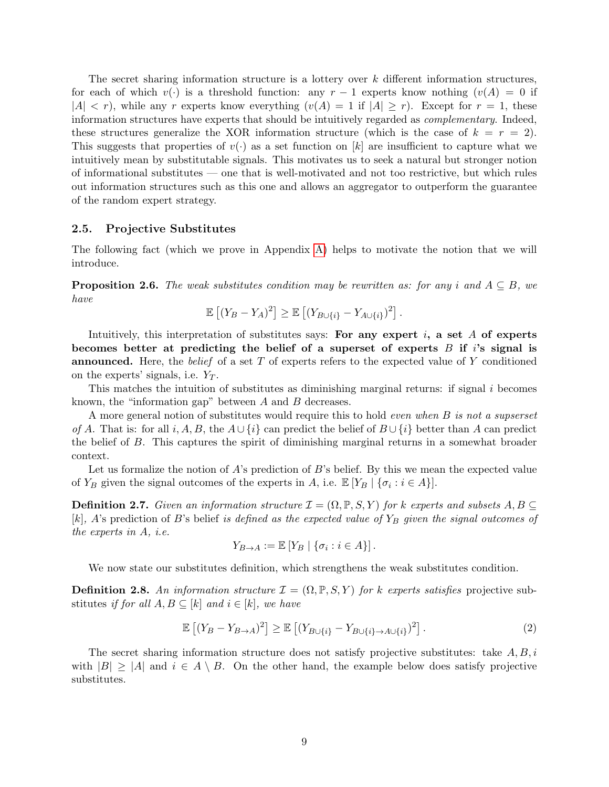The secret sharing information structure is a lottery over k different information structures, for each of which  $v(\cdot)$  is a threshold function: any  $r-1$  experts know nothing  $(v(A) = 0$  if  $|A| < r$ , while any r experts know everything  $(v(A) = 1$  if  $|A| \ge r$ . Except for  $r = 1$ , these information structures have experts that should be intuitively regarded as complementary. Indeed, these structures generalize the XOR information structure (which is the case of  $k = r = 2$ ). This suggests that properties of  $v(\cdot)$  as a set function on [k] are insufficient to capture what we intuitively mean by substitutable signals. This motivates us to seek a natural but stronger notion of informational substitutes — one that is well-motivated and not too restrictive, but which rules out information structures such as this one and allows an aggregator to outperform the guarantee of the random expert strategy.

### 2.5. Projective Substitutes

The following fact (which we prove in Appendix [A\)](#page-21-7) helps to motivate the notion that we will introduce.

<span id="page-9-2"></span>**Proposition 2.6.** The weak substitutes condition may be rewritten as: for any i and  $A \subseteq B$ , we have

$$
\mathbb{E}\left[ (Y_B - Y_A)^2 \right] \ge \mathbb{E}\left[ (Y_{B \cup \{i\}} - Y_{A \cup \{i\}})^2 \right].
$$

Intuitively, this interpretation of substitutes says: For any expert  $i$ , a set A of experts becomes better at predicting the belief of a superset of experts  $B$  if i's signal is **announced.** Here, the *belief* of a set  $T$  of experts refers to the expected value of  $Y$  conditioned on the experts' signals, i.e.  $Y_T$ .

This matches the intuition of substitutes as diminishing marginal returns: if signal  $i$  becomes known, the "information gap" between A and B decreases.

A more general notion of substitutes would require this to hold even when B is not a supserset of A. That is: for all i, A, B, the  $A \cup \{i\}$  can predict the belief of  $B \cup \{i\}$  better than A can predict the belief of B. This captures the spirit of diminishing marginal returns in a somewhat broader context.

Let us formalize the notion of  $A$ 's prediction of  $B$ 's belief. By this we mean the expected value of  $Y_B$  given the signal outcomes of the experts in A, i.e.  $\mathbb{E}[Y_B | {\sigma_i : i \in A}].$ 

**Definition 2.7.** Given an information structure  $\mathcal{I} = (\Omega, \mathbb{P}, S, Y)$  for k experts and subsets  $A, B \subseteq$ [k], A's prediction of B's belief is defined as the expected value of  $Y_B$  given the signal outcomes of the experts in A, i.e.

$$
Y_{B\to A} := \mathbb{E}\left[Y_B \mid \{\sigma_i : i \in A\}\right].
$$

We now state our substitutes definition, which strengthens the weak substitutes condition.

<span id="page-9-1"></span>**Definition 2.8.** An information structure  $\mathcal{I} = (\Omega, \mathbb{P}, S, Y)$  for k experts satisfies projective substitutes if for all  $A, B \subseteq [k]$  and  $i \in [k]$ , we have

<span id="page-9-0"></span>
$$
\mathbb{E}\left[\left(Y_B - Y_{B\to A}\right)^2\right] \ge \mathbb{E}\left[\left(Y_{B\cup\{i\}} - Y_{B\cup\{i\}\to A\cup\{i\}}\right)^2\right].\tag{2}
$$

The secret sharing information structure does not satisfy projective substitutes: take  $A, B, i$ with  $|B| \geq |A|$  and  $i \in A \setminus B$ . On the other hand, the example below does satisfy projective substitutes.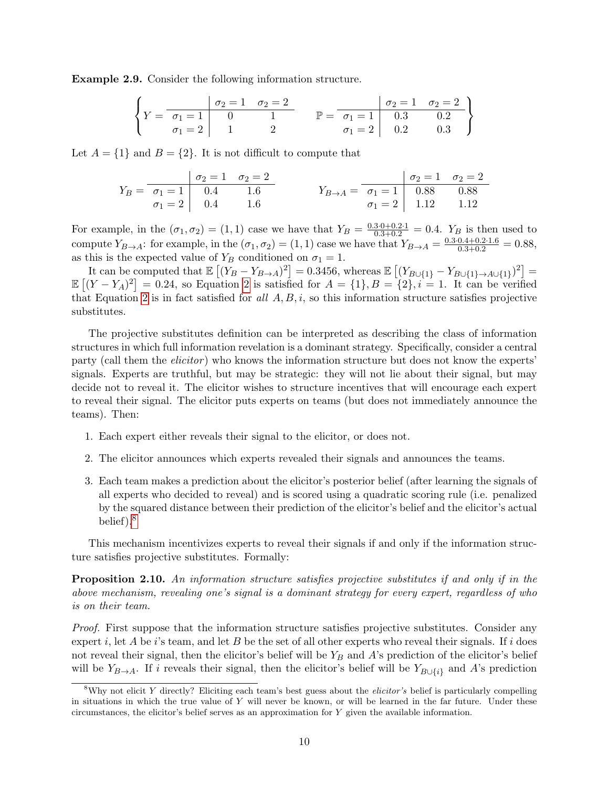Example 2.9. Consider the following information structure.

$$
\left\{ Y = \begin{array}{c|cc|cc} & \sigma_2 = 1 & \sigma_2 = 2 \\ \hline \sigma_1 = 1 & 0 & 1 \\ \sigma_1 = 2 & 1 & 2 \end{array} \right. \qquad \mathbb{P} = \begin{array}{c|cc|cc} & \sigma_2 = 1 & \sigma_2 = 2 \\ \hline \sigma_1 = 1 & 0.3 & 0.2 \\ \sigma_1 = 2 & 0.2 & 0.3 \end{array} \right\}
$$

Let  $A = \{1\}$  and  $B = \{2\}$ . It is not difficult to compute that

$$
Y_B = \begin{array}{c|cc} & \sigma_2 = 1 & \sigma_2 = 2 \\ \hline \sigma_1 = 1 & 0.4 & 1.6 \\ \sigma_1 = 2 & 0.4 & 1.6 \end{array} \qquad Y_{B \to A} = \begin{array}{c|cc} & \sigma_2 = 1 & \sigma_2 = 2 \\ \hline \sigma_1 = 1 & 0.88 & 0.88 \\ \sigma_1 = 2 & 1.12 & 1.12 \end{array}
$$

For example, in the  $(\sigma_1, \sigma_2) = (1, 1)$  case we have that  $Y_B = \frac{0.3 \cdot 0 + 0.2 \cdot 1}{0.3 + 0.2} = 0.4$ .  $Y_B$  is then used to compute  $Y_{B\to A}$ : for example, in the  $(\sigma_1, \sigma_2) = (1, 1)$  case we have that  $Y_{B\to A} = \frac{0.3 \cdot 0.4 + 0.2 \cdot 1.6}{0.3 + 0.2} = 0.88$ , as this is the expected value of  $Y_B$  conditioned on  $\sigma_1 = 1$ .

It can be computed that  $\mathbb{E}[(Y_B - Y_{B\to A})^2] = 0.3456$ , whereas  $\mathbb{E}[(Y_{B\cup\{1\}} - Y_{B\cup\{1\}\to A\cup\{1\}})^2] =$  $\mathbb{E}[(Y-Y_A)^2]=0.24$ , so Equation [2](#page-9-0) is satisfied for  $A = \{1\}, B = \{2\}, i=1$ . It can be verified that Equation [2](#page-9-0) is in fact satisfied for all  $A, B, i$ , so this information structure satisfies projective substitutes.

The projective substitutes definition can be interpreted as describing the class of information structures in which full information revelation is a dominant strategy. Specifically, consider a central party (call them the *elicitor*) who knows the information structure but does not know the experts' signals. Experts are truthful, but may be strategic: they will not lie about their signal, but may decide not to reveal it. The elicitor wishes to structure incentives that will encourage each expert to reveal their signal. The elicitor puts experts on teams (but does not immediately announce the teams). Then:

- 1. Each expert either reveals their signal to the elicitor, or does not.
- 2. The elicitor announces which experts revealed their signals and announces the teams.
- 3. Each team makes a prediction about the elicitor's posterior belief (after learning the signals of all experts who decided to reveal) and is scored using a quadratic scoring rule (i.e. penalized by the squared distance between their prediction of the elicitor's belief and the elicitor's actual belief).[8](#page-10-0)

This mechanism incentivizes experts to reveal their signals if and only if the information structure satisfies projective substitutes. Formally:

**Proposition 2.10.** An information structure satisfies projective substitutes if and only if in the above mechanism, revealing one's signal is a dominant strategy for every expert, regardless of who is on their team.

Proof. First suppose that the information structure satisfies projective substitutes. Consider any expert i, let A be i's team, and let B be the set of all other experts who reveal their signals. If i does not reveal their signal, then the elicitor's belief will be  $Y_B$  and A's prediction of the elicitor's belief will be  $Y_{B\to A}$ . If i reveals their signal, then the elicitor's belief will be  $Y_{B\cup \{i\}}$  and A's prediction

<span id="page-10-0"></span><sup>&</sup>lt;sup>8</sup>Why not elicit Y directly? Eliciting each team's best guess about the *elicitor's* belief is particularly compelling in situations in which the true value of  $Y$  will never be known, or will be learned in the far future. Under these circumstances, the elicitor's belief serves as an approximation for Y given the available information.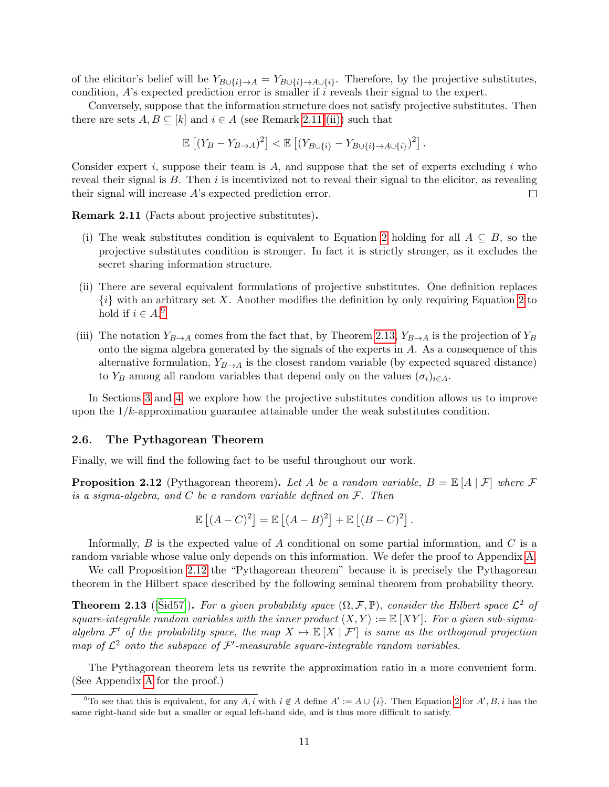of the elicitor's belief will be  $Y_{B\cup\{i\}\to A} = Y_{B\cup\{i\}\to A\cup\{i\}}$ . Therefore, by the projective substitutes, condition,  $A$ 's expected prediction error is smaller if i reveals their signal to the expert.

Conversely, suppose that the information structure does not satisfy projective substitutes. Then there are sets  $A, B \subseteq [k]$  and  $i \in A$  (see Remark [2.11](#page-11-0) [\(ii\)\)](#page-11-1) such that

$$
\mathbb{E}\left[\left(Y_B - Y_{B\to A}\right)^2\right] < \mathbb{E}\left[\left(Y_{B\cup\{i\}} - Y_{B\cup\{i\}\to A\cup\{i\}}\right)^2\right].
$$

Consider expert i, suppose their team is  $A$ , and suppose that the set of experts excluding i who reveal their signal is  $B$ . Then  $i$  is incentivized not to reveal their signal to the elicitor, as revealing their signal will increase A's expected prediction error.  $\Box$ 

<span id="page-11-0"></span>Remark 2.11 (Facts about projective substitutes).

- (i) The weak substitutes condition is equivalent to Equation [2](#page-9-0) holding for all  $A \subseteq B$ , so the projective substitutes condition is stronger. In fact it is strictly stronger, as it excludes the secret sharing information structure.
- <span id="page-11-1"></span>(ii) There are several equivalent formulations of projective substitutes. One definition replaces  $\{i\}$  with an arbitrary set X. Another modifies the definition by only requiring Equation [2](#page-9-0) to hold if  $i \in A$ .<sup>[9](#page-11-2)</sup>
- (iii) The notation  $Y_{B\to A}$  comes from the fact that, by Theorem [2.13,](#page-11-3)  $Y_{B\to A}$  is the projection of  $Y_B$ onto the sigma algebra generated by the signals of the experts in A. As a consequence of this alternative formulation,  $Y_{B\rightarrow A}$  is the closest random variable (by expected squared distance) to Y<sub>B</sub> among all random variables that depend only on the values  $(\sigma_i)_{i\in A}$ .

In Sections [3](#page-12-0) and [4,](#page-17-0) we explore how the projective substitutes condition allows us to improve upon the  $1/k$ -approximation guarantee attainable under the weak substitutes condition.

#### 2.6. The Pythagorean Theorem

Finally, we will find the following fact to be useful throughout our work.

<span id="page-11-4"></span>**Proposition 2.12** (Pythagorean theorem). Let A be a random variable,  $B = \mathbb{E}[A | \mathcal{F}]$  where  $\mathcal F$ is a sigma-algebra, and  $C$  be a random variable defined on  $\mathcal{F}$ . Then

$$
\mathbb{E}[(A-C)^{2}] = \mathbb{E}[(A-B)^{2}] + \mathbb{E}[(B-C)^{2}].
$$

Informally,  $B$  is the expected value of  $A$  conditional on some partial information, and  $C$  is a random variable whose value only depends on this information. We defer the proof to Appendix [A.](#page-21-7)

We call Proposition [2.12](#page-11-4) the "Pythagorean theorem" because it is precisely the Pythagorean theorem in the Hilbert space described by the following seminal theorem from probability theory.

<span id="page-11-3"></span>**Theorem 2.13** ([\[Sid57\]](#page-21-9)). For a given probability space  $(\Omega, \mathcal{F}, \mathbb{P})$ , consider the Hilbert space  $\mathcal{L}^2$  of square-integrable random variables with the inner product  $\langle X, Y \rangle := \mathbb{E} [XY]$ . For a given sub-sigmaalgebra  $\mathcal{F}'$  of the probability space, the map  $X \mapsto \mathbb{E}[X | \mathcal{F}']$  is same as the orthogonal projection map of  $\mathcal{L}^2$  onto the subspace of  $\mathcal{F}'$ -measurable square-integrable random variables.

The Pythagorean theorem lets us rewrite the approximation ratio in a more convenient form. (See Appendix [A](#page-21-7) for the proof.)

<span id="page-11-2"></span><sup>&</sup>lt;sup>9</sup>To see that this is equivalent, for any A, i with  $i \notin A$  define  $A' := A \cup \{i\}$ . Then Equation [2](#page-9-0) for  $A', B, i$  has the same right-hand side but a smaller or equal left-hand side, and is thus more difficult to satisfy.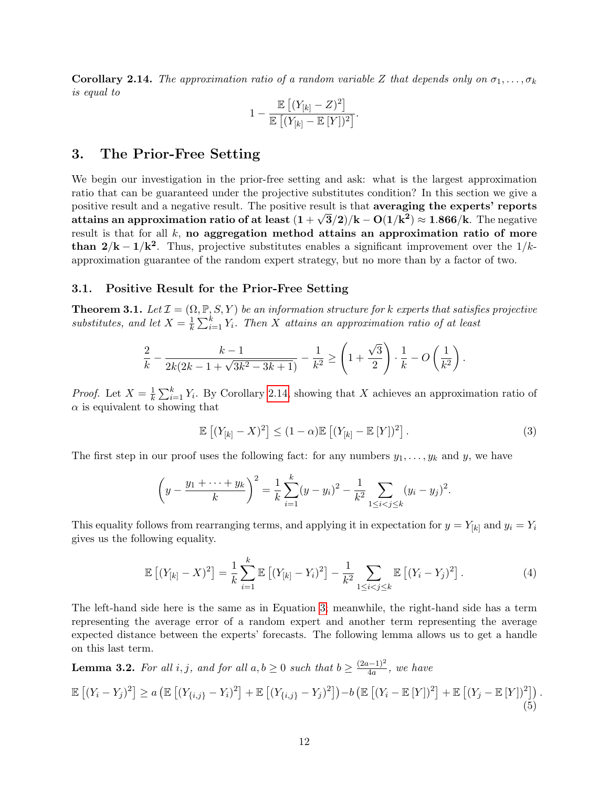<span id="page-12-2"></span>**Corollary 2.14.** The approximation ratio of a random variable Z that depends only on  $\sigma_1, \ldots, \sigma_k$ is equal to

$$
1 - \frac{\mathbb{E}\left[ (Y_{[k]} - Z)^2 \right]}{\mathbb{E}\left[ (Y_{[k]} - \mathbb{E}\left[ Y \right])^2 \right]}.
$$

### <span id="page-12-0"></span>3. The Prior-Free Setting

We begin our investigation in the prior-free setting and ask: what is the largest approximation ratio that can be guaranteed under the projective substitutes condition? In this section we give a positive result and a negative result. The positive result is that **averaging the experts' reports** attains an approximation ratio of at least  $(1+\sqrt{3}/2)/\text{k} - \text{O}(1/\text{k}^2) \approx 1.866/\text{k}$ . The negative result is that for all  $k$ , no aggregation method attains an approximation ratio of more than  $2/k - 1/k^2$ . Thus, projective substitutes enables a significant improvement over the 1/kapproximation guarantee of the random expert strategy, but no more than by a factor of two.

### 3.1. Positive Result for the Prior-Free Setting

<span id="page-12-1"></span>**Theorem 3.1.** Let  $\mathcal{I} = (\Omega, \mathbb{P}, S, Y)$  be an information structure for k experts that satisfies projective substitutes, and let  $X = \frac{1}{k}$  $\frac{1}{k} \sum_{i=1}^{k} Y_i$ . Then X attains an approximation ratio of at least

$$
\frac{2}{k} - \frac{k-1}{2k(2k-1+\sqrt{3k^2-3k+1})} - \frac{1}{k^2} \ge \left(1+\frac{\sqrt{3}}{2}\right) \cdot \frac{1}{k} - O\left(\frac{1}{k^2}\right).
$$

*Proof.* Let  $X = \frac{1}{k}$  $\frac{1}{k} \sum_{i=1}^{k} Y_i$ . By Corollary [2.14,](#page-12-2) showing that X achieves an approximation ratio of  $\alpha$  is equivalent to showing that

<span id="page-12-3"></span>
$$
\mathbb{E}\left[\left(Y_{[k]} - X\right)^2\right] \le (1 - \alpha)\mathbb{E}\left[\left(Y_{[k]} - \mathbb{E}\left[Y\right]\right)^2\right].\tag{3}
$$

The first step in our proof uses the following fact: for any numbers  $y_1, \ldots, y_k$  and y, we have

$$
\left(y - \frac{y_1 + \dots + y_k}{k}\right)^2 = \frac{1}{k} \sum_{i=1}^k (y - y_i)^2 - \frac{1}{k^2} \sum_{1 \le i < j \le k} (y_i - y_j)^2.
$$

This equality follows from rearranging terms, and applying it in expectation for  $y = Y_{[k]}$  and  $y_i = Y_i$ gives us the following equality.

<span id="page-12-5"></span>
$$
\mathbb{E}\left[ (Y_{[k]} - X)^2 \right] = \frac{1}{k} \sum_{i=1}^k \mathbb{E}\left[ (Y_{[k]} - Y_i)^2 \right] - \frac{1}{k^2} \sum_{1 \le i < j \le k} \mathbb{E}\left[ (Y_i - Y_j)^2 \right]. \tag{4}
$$

The left-hand side here is the same as in Equation [3;](#page-12-3) meanwhile, the right-hand side has a term representing the average error of a random expert and another term representing the average expected distance between the experts' forecasts. The following lemma allows us to get a handle on this last term.

<span id="page-12-4"></span>**Lemma 3.2.** For all i, j, and for all  $a, b \ge 0$  such that  $b \ge \frac{(2a-1)^2}{4a}$  $\frac{a^{(n-1)^2}}{4a}$ , we have

<span id="page-12-6"></span>
$$
\mathbb{E}\left[(Y_i - Y_j)^2\right] \ge a \left(\mathbb{E}\left[(Y_{\{i,j\}} - Y_i)^2\right] + \mathbb{E}\left[(Y_{\{i,j\}} - Y_j)^2\right]\right) - b \left(\mathbb{E}\left[(Y_i - \mathbb{E}\left[Y\right])^2\right] + \mathbb{E}\left[(Y_j - \mathbb{E}\left[Y\right])^2\right]\right).
$$
\n(5)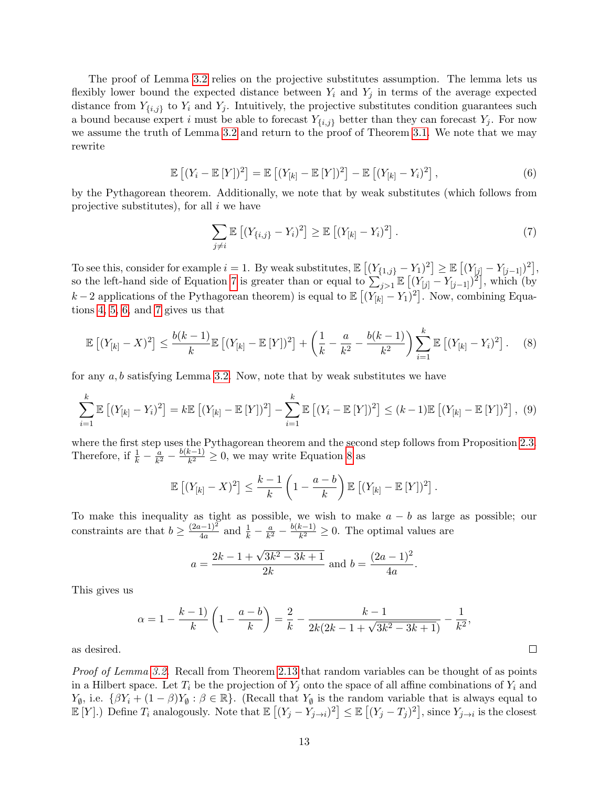The proof of Lemma [3.2](#page-12-4) relies on the projective substitutes assumption. The lemma lets us flexibly lower bound the expected distance between  $Y_i$  and  $Y_j$  in terms of the average expected distance from  $Y_{\{i,j\}}$  to  $Y_i$  and  $Y_j$ . Intuitively, the projective substitutes condition guarantees such a bound because expert i must be able to forecast  $Y_{\{i,j\}}$  better than they can forecast  $Y_j$ . For now we assume the truth of Lemma [3.2](#page-12-4) and return to the proof of Theorem [3.1.](#page-12-1) We note that we may rewrite

<span id="page-13-1"></span>
$$
\mathbb{E}\left[(Y_i - \mathbb{E}\left[Y\right])^2\right] = \mathbb{E}\left[(Y_{[k]} - \mathbb{E}\left[Y\right])^2\right] - \mathbb{E}\left[(Y_{[k]} - Y_i)^2\right],\tag{6}
$$

by the Pythagorean theorem. Additionally, we note that by weak substitutes (which follows from projective substitutes), for all  $i$  we have

<span id="page-13-0"></span>
$$
\sum_{j\neq i} \mathbb{E}\left[ (Y_{\{i,j\}} - Y_i)^2 \right] \geq \mathbb{E}\left[ (Y_{[k]} - Y_i)^2 \right]. \tag{7}
$$

To see this, consider for example  $i = 1$ . By weak substitutes,  $\mathbb{E} [(Y_{\{1,j\}} - Y_1)^2] \geq \mathbb{E} [(Y_{[j]} - Y_{[j-1]})^2]$ , so the left-hand side of Equation [7](#page-13-0) is greater than or equal to  $\sum_{j>1}^{s} \mathbb{E}[(Y_{[j]} - Y_{[j-1]})^2]$ , which (by k – 2 applications of the Pythagorean theorem) is equal to  $\mathbb{E}[(Y_{[k]}-Y_1)^2]$ . Now, combining Equations [4,](#page-12-5) [5,](#page-12-6) [6,](#page-13-1) and [7](#page-13-0) gives us that

<span id="page-13-2"></span>
$$
\mathbb{E}\left[ (Y_{[k]} - X)^2 \right] \le \frac{b(k-1)}{k} \mathbb{E}\left[ (Y_{[k]} - \mathbb{E}\left[ Y \right])^2 \right] + \left( \frac{1}{k} - \frac{a}{k^2} - \frac{b(k-1)}{k^2} \right) \sum_{i=1}^k \mathbb{E}\left[ (Y_{[k]} - Y_i)^2 \right].
$$
 (8)

for any  $a, b$  satisfying Lemma [3.2.](#page-12-4) Now, note that by weak substitutes we have

<span id="page-13-3"></span>
$$
\sum_{i=1}^{k} \mathbb{E} \left[ (Y_{[k]} - Y_i)^2 \right] = k \mathbb{E} \left[ (Y_{[k]} - \mathbb{E} \left[ Y \right])^2 \right] - \sum_{i=1}^{k} \mathbb{E} \left[ (Y_i - \mathbb{E} \left[ Y \right])^2 \right] \le (k-1) \mathbb{E} \left[ (Y_{[k]} - \mathbb{E} \left[ Y \right])^2 \right], (9)
$$

where the first step uses the Pythagorean theorem and the second step follows from Proposition [2.3.](#page-8-0) Therefore, if  $\frac{1}{k} - \frac{a}{k^2}$  $\frac{a}{k^2} - \frac{b(k-1)}{k^2}$  $\frac{k-1}{k^2} \geq 0$ , we may write Equation [8](#page-13-2) as

$$
\mathbb{E}\left[(Y_{[k]}-X)^2\right] \leq \frac{k-1}{k}\left(1-\frac{a-b}{k}\right)\mathbb{E}\left[(Y_{[k]}-\mathbb{E}\left[Y\right])^2\right].
$$

To make this inequality as tight as possible, we wish to make  $a - b$  as large as possible; our constraints are that  $b \geq \frac{(2a-1)^2}{4a}$  $\frac{(n-1)^2}{4a}$  and  $\frac{1}{k} - \frac{a}{k^2}$  $\frac{a}{k^2} - \frac{b(k-1)}{k^2}$  $\frac{k-1}{k^2} \geq 0$ . The optimal values are

$$
a = \frac{2k - 1 + \sqrt{3k^2 - 3k + 1}}{2k}
$$
 and  $b = \frac{(2a - 1)^2}{4a}$ .

This gives us

$$
\alpha = 1 - \frac{k-1}{k} \left( 1 - \frac{a-b}{k} \right) = \frac{2}{k} - \frac{k-1}{2k(2k-1+\sqrt{3k^2-3k+1})} - \frac{1}{k^2},
$$

 $\Box$ 

as desired.

Proof of Lemma [3.2.](#page-12-4) Recall from Theorem [2.13](#page-11-3) that random variables can be thought of as points in a Hilbert space. Let  $T_i$  be the projection of  $Y_j$  onto the space of all affine combinations of  $Y_i$  and  $Y_{\emptyset}$ , i.e.  $\{\beta Y_i + (1 - \beta)Y_{\emptyset} : \beta \in \mathbb{R}\}.$  (Recall that  $Y_{\emptyset}$  is the random variable that is always equal to  $\mathbb{E}[Y].$ ) Define  $T_i$  analogously. Note that  $\mathbb{E}[(Y_j - Y_{j \to i})^2] \leq \mathbb{E}[(Y_j - T_j)^2]$ , since  $Y_{j \to i}$  is the closest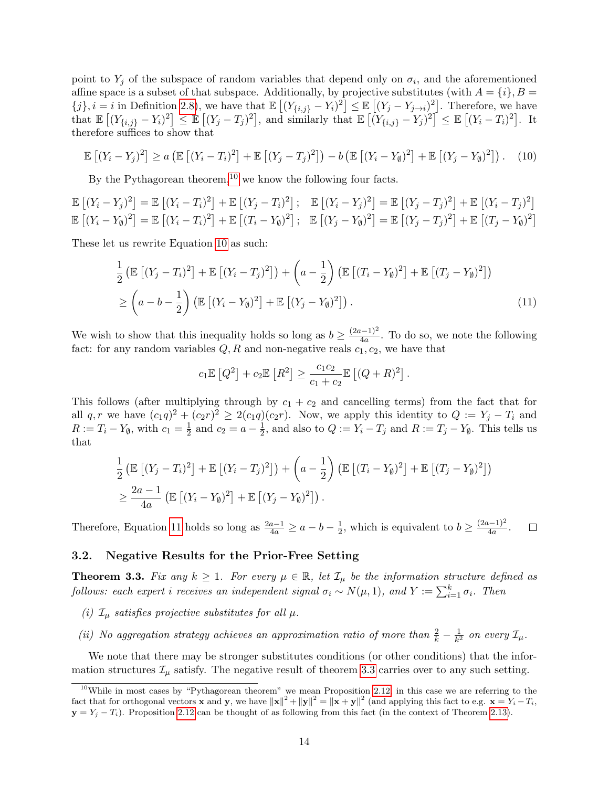point to  $Y_j$  of the subspace of random variables that depend only on  $\sigma_i$ , and the aforementioned affine space is a subset of that subspace. Additionally, by projective substitutes (with  $A = \{i\}, B =$  ${j}, i = i$  in Definition [2.8\)](#page-9-1), we have that  $\mathbb{E}[(Y_{\{i,j\}} - Y_i)^2] \leq \mathbb{E}[(Y_j - Y_{j \to i})^2]$ . Therefore, we have that  $\mathbb{E}\left[ (Y_{\{i,j\}} - Y_i)^2 \right] \leq \mathbb{E}\left[ (Y_j - T_j)^2 \right]$ , and similarly that  $\mathbb{E}\left[ (Y_{\{i,j\}} - Y_j)^2 \right] \leq \mathbb{E}\left[ (Y_i - T_i)^2 \right]$ . It therefore suffices to show that

<span id="page-14-2"></span>
$$
\mathbb{E}\left[(Y_i - Y_j)^2\right] \ge a \left(\mathbb{E}\left[(Y_i - T_i)^2\right] + \mathbb{E}\left[(Y_j - T_j)^2\right]\right) - b \left(\mathbb{E}\left[(Y_i - Y_\emptyset)^2\right] + \mathbb{E}\left[(Y_j - Y_\emptyset)^2\right]\right). \tag{10}
$$

By the Pythagorean theorem,<sup>[10](#page-14-1)</sup> we know the following four facts.

$$
\mathbb{E}\left[(Y_i - Y_j)^2\right] = \mathbb{E}\left[(Y_i - T_i)^2\right] + \mathbb{E}\left[(Y_j - T_i)^2\right]; \quad \mathbb{E}\left[(Y_i - Y_j)^2\right] = \mathbb{E}\left[(Y_j - T_j)^2\right] + \mathbb{E}\left[(Y_i - T_j)^2\right]
$$
\n
$$
\mathbb{E}\left[(Y_i - Y_0)^2\right] = \mathbb{E}\left[(Y_i - T_i)^2\right] + \mathbb{E}\left[(T_i - Y_0)^2\right]; \quad \mathbb{E}\left[(Y_j - Y_0)^2\right] = \mathbb{E}\left[(Y_j - T_j)^2\right] + \mathbb{E}\left[(T_j - Y_0)^2\right]
$$

These let us rewrite Equation [10](#page-14-2) as such:

$$
\frac{1}{2}\left(\mathbb{E}\left[(Y_j - T_i)^2\right] + \mathbb{E}\left[(Y_i - T_j)^2\right]\right) + \left(a - \frac{1}{2}\right)\left(\mathbb{E}\left[(T_i - Y_0)^2\right] + \mathbb{E}\left[(T_j - Y_0)^2\right]\right)
$$
\n
$$
\geq \left(a - b - \frac{1}{2}\right)\left(\mathbb{E}\left[(Y_i - Y_0)^2\right] + \mathbb{E}\left[(Y_j - Y_0)^2\right]\right).
$$
\n(11)

We wish to show that this inequality holds so long as  $b \geq \frac{(2a-1)^2}{4a}$  $\frac{(-1)^n}{4a}$ . To do so, we note the following fact: for any random variables  $Q, R$  and non-negative reals  $c_1, c_2$ , we have that

<span id="page-14-3"></span>
$$
c_1 \mathbb{E} [Q^2] + c_2 \mathbb{E} [R^2] \ge \frac{c_1 c_2}{c_1 + c_2} \mathbb{E} [ (Q + R)^2].
$$

This follows (after multiplying through by  $c_1 + c_2$  and cancelling terms) from the fact that for all  $q, r$  we have  $(c_1q)^2 + (c_2r)^2 \geq 2(c_1q)(c_2r)$ . Now, we apply this identity to  $Q := Y_j - T_i$  and  $R := T_i - Y_{\emptyset}$ , with  $c_1 = \frac{1}{2}$  $\frac{1}{2}$  and  $c_2 = a - \frac{1}{2}$  $\frac{1}{2}$ , and also to  $Q := Y_i - T_j$  and  $R := T_j - Y_{\emptyset}$ . This tells us that

$$
\frac{1}{2} \left( \mathbb{E} \left[ (Y_j - T_i)^2 \right] + \mathbb{E} \left[ (Y_i - T_j)^2 \right] \right) + \left( a - \frac{1}{2} \right) \left( \mathbb{E} \left[ (T_i - Y_{\emptyset})^2 \right] + \mathbb{E} \left[ (T_j - Y_{\emptyset})^2 \right] \right)
$$
\n
$$
\geq \frac{2a - 1}{4a} \left( \mathbb{E} \left[ (Y_i - Y_{\emptyset})^2 \right] + \mathbb{E} \left[ (Y_j - Y_{\emptyset})^2 \right] \right).
$$

 $\frac{1}{2}$ , which is equivalent to  $b \geq \frac{(2a-1)^2}{4a}$ Therefore, Equation [11](#page-14-3) holds so long as  $\frac{2a-1}{4a} \ge a - b - \frac{1}{2}$  $\frac{(n-1)^2}{4a}$ .  $\Box$ 

### 3.2. Negative Results for the Prior-Free Setting

<span id="page-14-0"></span>**Theorem 3.3.** Fix any  $k \geq 1$ . For every  $\mu \in \mathbb{R}$ , let  $\mathcal{I}_{\mu}$  be the information structure defined as follows: each expert i receives an independent signal  $\sigma_i \sim N(\mu, 1)$ , and  $Y := \sum_{i=1}^k \sigma_i$ . Then

- <span id="page-14-4"></span>(i)  $\mathcal{I}_{\mu}$  satisfies projective substitutes for all  $\mu$ .
- <span id="page-14-5"></span>(ii) No aggregation strategy achieves an approximation ratio of more than  $\frac{2}{k} - \frac{1}{k^2}$  $\frac{1}{k^2}$  on every  $\mathcal{I}_{\mu}$ .

We note that there may be stronger substitutes conditions (or other conditions) that the information structures  $\mathcal{I}_{\mu}$  satisfy. The negative result of theorem [3.3](#page-14-0) carries over to any such setting.

<span id="page-14-1"></span><sup>&</sup>lt;sup>10</sup>While in most cases by "Pythagorean theorem" we mean Proposition [2.12,](#page-11-4) in this case we are referring to the fact that for orthogonal vectors **x** and **y**, we have  $||\mathbf{x}||^2 + ||\mathbf{y}||^2 = ||\mathbf{x} + \mathbf{y}||^2$  (and applying this fact to e.g.  $\mathbf{x} = Y_i - T_i$ ,  $y = Y_i - T_i$ ). Proposition [2.12](#page-11-4) can be thought of as following from this fact (in the context of Theorem [2.13\)](#page-11-3).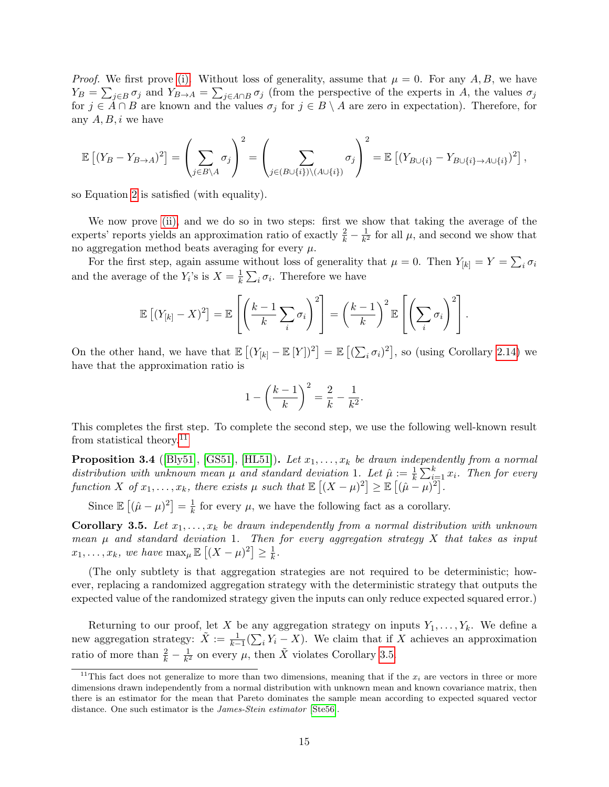*Proof.* We first prove [\(i\).](#page-14-4) Without loss of generality, assume that  $\mu = 0$ . For any A, B, we have  $Y_B = \sum_{j \in B} \sigma_j$  and  $Y_{B\to A} = \sum_{j \in A \cap B} \sigma_j$  (from the perspective of the experts in A, the values  $\sigma_j$ for  $j \in \mathring{A} \cap B$  are known and the values  $\sigma_j$  for  $j \in B \setminus A$  are zero in expectation). Therefore, for any  $A, B, i$  we have

$$
\mathbb{E}\left[(Y_B - Y_{B\to A})^2\right] = \left(\sum_{j \in B\setminus A} \sigma_j\right)^2 = \left(\sum_{j \in (B\cup\{i\})\setminus (A\cup\{i\})} \sigma_j\right)^2 = \mathbb{E}\left[(Y_{B\cup\{i\}} - Y_{B\cup\{i\}\to A\cup\{i\}})^2\right],
$$

so Equation [2](#page-9-0) is satisfied (with equality).

We now prove [\(ii\),](#page-14-5) and we do so in two steps: first we show that taking the average of the experts' reports yields an approximation ratio of exactly  $\frac{2}{k} - \frac{1}{k^2}$  $\frac{1}{k^2}$  for all  $\mu$ , and second we show that no aggregation method beats averaging for every  $\mu.$ 

For the first step, again assume without loss of generality that  $\mu = 0$ . Then  $Y_{[k]} = Y = \sum_i \sigma_i$ and the average of the  $Y_i$ 's is  $X = \frac{1}{k}$  $\frac{1}{k} \sum_i \sigma_i$ . Therefore we have

$$
\mathbb{E}\left[ (Y_{[k]} - X)^2 \right] = \mathbb{E}\left[ \left( \frac{k-1}{k} \sum_i \sigma_i \right)^2 \right] = \left( \frac{k-1}{k} \right)^2 \mathbb{E}\left[ \left( \sum_i \sigma_i \right)^2 \right].
$$

On the other hand, we have that  $\mathbb{E}[(Y_{[k]} - \mathbb{E}[Y])^2] = \mathbb{E}[(\sum_i \sigma_i)^2]$ , so (using Corollary [2.14\)](#page-12-2) we have that the approximation ratio is

$$
1 - \left(\frac{k-1}{k}\right)^2 = \frac{2}{k} - \frac{1}{k^2}.
$$

This completes the first step. To complete the second step, we use the following well-known result from statistical theory.[11](#page-15-0)

**Proposition 3.4** ([\[Bly51\]](#page-20-9), [\[GS51\]](#page-20-10), [\[HL51\]](#page-20-11)). Let  $x_1, \ldots, x_k$  be drawn independently from a normal distribution with unknown mean  $\mu$  and standard deviation 1. Let  $\hat{\mu} := \frac{1}{k} \sum_{i=1}^{k} x_i$ . Then for every function X of  $x_1, \ldots, x_k$ , there exists  $\mu$  such that  $\mathbb{E}[(X - \mu)^2] \geq \mathbb{E}[(\hat{\mu} - \mu)^2]$ .

Since  $\mathbb{E}[(\hat{\mu}-\mu)^2]=\frac{1}{k}$  $\frac{1}{k}$  for every  $\mu$ , we have the following fact as a corollary.

<span id="page-15-1"></span>**Corollary 3.5.** Let  $x_1, \ldots, x_k$  be drawn independently from a normal distribution with unknown mean  $\mu$  and standard deviation 1. Then for every aggregation strategy X that takes as input  $x_1, \ldots, x_k$ , we have  $\max_{\mu} \mathbb{E} \left[ (X - \mu)^2 \right] \geq \frac{1}{k}$  $\frac{1}{k}$ .

(The only subtlety is that aggregation strategies are not required to be deterministic; however, replacing a randomized aggregation strategy with the deterministic strategy that outputs the expected value of the randomized strategy given the inputs can only reduce expected squared error.)

Returning to our proof, let X be any aggregation strategy on inputs  $Y_1, \ldots, Y_k$ . We define a new aggregation strategy:  $\tilde{X} := \frac{1}{k-1}(\sum_i Y_i - X)$ . We claim that if X achieves an approximation ratio of more than  $\frac{2}{k} - \frac{1}{k^2}$  $\frac{1}{k^2}$  on every  $\mu$ , then  $\tilde{X}$  violates Corollary [3.5.](#page-15-1)

<span id="page-15-0"></span><sup>&</sup>lt;sup>11</sup>This fact does not generalize to more than two dimensions, meaning that if the  $x_i$  are vectors in three or more dimensions drawn independently from a normal distribution with unknown mean and known covariance matrix, then there is an estimator for the mean that Pareto dominates the sample mean according to expected squared vector distance. One such estimator is the *James-Stein estimator* [\[Ste56\]](#page-21-10).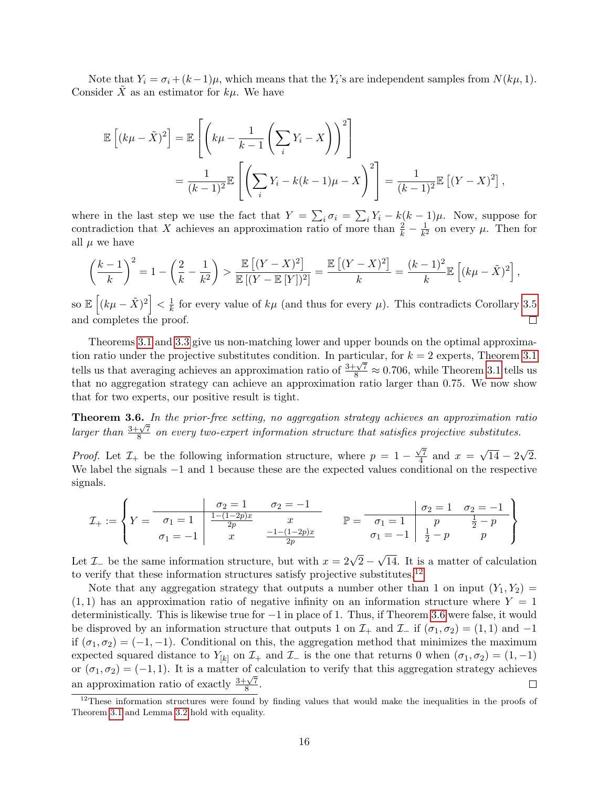Note that  $Y_i = \sigma_i + (k-1)\mu$ , which means that the  $Y_i$ 's are independent samples from  $N(k\mu, 1)$ . Consider X as an estimator for  $k\mu$ . We have

$$
\mathbb{E}\left[(k\mu - \tilde{X})^2\right] = \mathbb{E}\left[\left(k\mu - \frac{1}{k-1}\left(\sum_i Y_i - X\right)\right)^2\right]
$$
  
= 
$$
\frac{1}{(k-1)^2} \mathbb{E}\left[\left(\sum_i Y_i - k(k-1)\mu - X\right)^2\right] = \frac{1}{(k-1)^2} \mathbb{E}\left[(Y - X)^2\right],
$$

where in the last step we use the fact that  $Y = \sum_i \sigma_i = \sum_i Y_i - k(k-1)\mu$ . Now, suppose for contradiction that X achieves an approximation ratio of more than  $\frac{2}{k} - \frac{1}{k^2}$  $\frac{1}{k^2}$  on every  $\mu$ . Then for all  $\mu$  we have

$$
\left(\frac{k-1}{k}\right)^2 = 1 - \left(\frac{2}{k} - \frac{1}{k^2}\right) > \frac{\mathbb{E}\left[(Y-X)^2\right]}{\mathbb{E}\left[(Y-\mathbb{E}\left[Y\right])^2\right]} = \frac{\mathbb{E}\left[(Y-X)^2\right]}{k} = \frac{(k-1)^2}{k} \mathbb{E}\left[(k\mu - \tilde{X})^2\right],
$$

so  $\mathbb{E}\left[ (k\mu - \tilde{X})^2 \right] < \frac{1}{k}$  $\frac{1}{k}$  for every value of  $k\mu$  (and thus for every  $\mu$ ). This contradicts Corollary [3.5](#page-15-1) and completes the proof.  $\Box$ 

Theorems [3.1](#page-12-1) and [3.3](#page-14-0) give us non-matching lower and upper bounds on the optimal approximation ratio under the projective substitutes condition. In particular, for  $k = 2$  experts, Theorem [3.1](#page-12-1) tells us that averaging achieves an approximation ratio of  $\frac{3+\sqrt{7}}{8} \approx 0.706$ , while Theorem [3.1](#page-12-1) tells us that no aggregation strategy can achieve an approximation ratio larger than 0.75. We now show that for two experts, our positive result is tight.

<span id="page-16-0"></span>Theorem 3.6. In the prior-free setting, no aggregation strategy achieves an approximation ratio Line of the  $\frac{3+\sqrt{7}}{8}$  $\frac{8.57}{8}$  on every two-expert information structure that satisfies projective substitutes.

*Proof.* Let  $\mathcal{I}_+$  be the following information structure, where  $p = 1 \sqrt{7}$  $\frac{\pi}{4}$  and  $x =$ √  $14 - 2$ √ 2. We label the signals −1 and 1 because these are the expected values conditional on the respective signals.

$$
\mathcal{I}_{+} := \left\{ Y = \begin{array}{c|c|c|c} & \sigma_{2} = 1 & \sigma_{2} = -1 & \sigma_{2} = -1 \\ \hline \sigma_{1} = 1 & \frac{1 - (1 - 2p)x}{2p} & x & \mathbb{P} = \begin{array}{c|c|c} & \sigma_{2} = 1 & \sigma_{2} = -1 \\ \hline \sigma_{1} = 1 & p & \frac{1}{2} - p \\ \sigma_{1} = -1 & \frac{1}{2} - p & p \end{array} \right\}
$$

Let  $\mathcal{I}_-$  be the same information structure, but with  $x = 2\sqrt{2}$  – √ 14. It is a matter of calculation to verify that these information structures satisfy projective substitutes.<sup>[12](#page-16-1)</sup>

Note that any aggregation strategy that outputs a number other than 1 on input  $(Y_1, Y_2)$  =  $(1, 1)$  has an approximation ratio of negative infinity on an information structure where  $Y = 1$ deterministically. This is likewise true for −1 in place of 1. Thus, if Theorem [3.6](#page-16-0) were false, it would be disproved by an information structure that outputs 1 on  $\mathcal{I}_+$  and  $\mathcal{I}_-$  if  $(\sigma_1, \sigma_2) = (1, 1)$  and  $-1$ if  $(\sigma_1, \sigma_2) = (-1, -1)$ . Conditional on this, the aggregation method that minimizes the maximum expected squared distance to  $Y_{[k]}$  on  $\mathcal{I}_+$  and  $\mathcal{I}_-$  is the one that returns 0 when  $(\sigma_1, \sigma_2) = (1, -1)$ or  $(\sigma_1, \sigma_2) = (-1, 1)$ . It is a matter of calculation to verify that this aggregation strategy achieves an approximation ratio of exactly  $\frac{3+\sqrt{7}}{8}$  $\frac{1}{8}$ .  $\Box$ 

<span id="page-16-1"></span><sup>&</sup>lt;sup>12</sup>These information structures were found by finding values that would make the inequalities in the proofs of Theorem [3.1](#page-12-1) and Lemma [3.2](#page-12-4) hold with equality.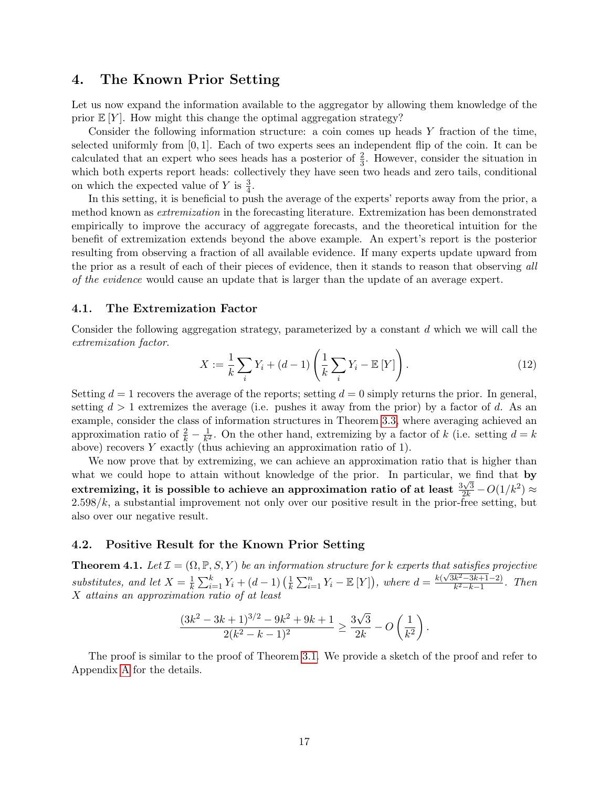### <span id="page-17-0"></span>4. The Known Prior Setting

Let us now expand the information available to the aggregator by allowing them knowledge of the prior  $E[Y]$ . How might this change the optimal aggregation strategy?

Consider the following information structure: a coin comes up heads Y fraction of the time, selected uniformly from  $[0, 1]$ . Each of two experts sees an independent flip of the coin. It can be calculated that an expert who sees heads has a posterior of  $\frac{2}{3}$ . However, consider the situation in which both experts report heads: collectively they have seen two heads and zero tails, conditional on which the expected value of Y is  $\frac{3}{4}$ .

In this setting, it is beneficial to push the average of the experts' reports away from the prior, a method known as extremization in the forecasting literature. Extremization has been demonstrated empirically to improve the accuracy of aggregate forecasts, and the theoretical intuition for the benefit of extremization extends beyond the above example. An expert's report is the posterior resulting from observing a fraction of all available evidence. If many experts update upward from the prior as a result of each of their pieces of evidence, then it stands to reason that observing all of the evidence would cause an update that is larger than the update of an average expert.

### 4.1. The Extremization Factor

Consider the following aggregation strategy, parameterized by a constant d which we will call the extremization factor.

<span id="page-17-2"></span>
$$
X := \frac{1}{k} \sum_{i} Y_i + (d - 1) \left( \frac{1}{k} \sum_{i} Y_i - \mathbb{E}[Y] \right). \tag{12}
$$

Setting  $d = 1$  recovers the average of the reports; setting  $d = 0$  simply returns the prior. In general, setting  $d > 1$  extremizes the average (i.e. pushes it away from the prior) by a factor of d. As an example, consider the class of information structures in Theorem [3.3,](#page-14-0) where averaging achieved an approximation ratio of  $\frac{2}{k} - \frac{1}{k^2}$  $\frac{1}{k^2}$ . On the other hand, extremizing by a factor of k (i.e. setting  $d = k$ above) recovers Y exactly (thus achieving an approximation ratio of 1).

We now prove that by extremizing, we can achieve an approximation ratio that is higher than what we could hope to attain without knowledge of the prior. In particular, we find that by extremizing, it is possible to achieve an approximation ratio of at least  $\frac{3\sqrt{3}}{2k} - O(1/k^2) \approx$  $2.598/k$ , a substantial improvement not only over our positive result in the prior-free setting, but also over our negative result.

#### 4.2. Positive Result for the Known Prior Setting

<span id="page-17-1"></span>**Theorem 4.1.** Let  $\mathcal{I} = (\Omega, \mathbb{P}, S, Y)$  be an information structure for k experts that satisfies projective substitutes, and let  $X = \frac{1}{k}$  $\frac{1}{k} \sum_{i=1}^{k} Y_i + (d-1) \left( \frac{1}{k} \right)$  $\frac{1}{k} \sum_{i=1}^{n} Y_i - \mathbb{E}[Y]$ , where  $d = \frac{k(\sqrt{3k^2-3k+1}-2)}{k^2-k-1}$  $\frac{k^2-3k+1-2}{k^2-k-1}$ . Then X attains an approximation ratio of at least

$$
\frac{(3k^2-3k+1)^{3/2}-9k^2+9k+1}{2(k^2-k-1)^2} \ge \frac{3\sqrt{3}}{2k} - O\left(\frac{1}{k^2}\right).
$$

The proof is similar to the proof of Theorem [3.1.](#page-12-1) We provide a sketch of the proof and refer to Appendix [A](#page-21-7) for the details.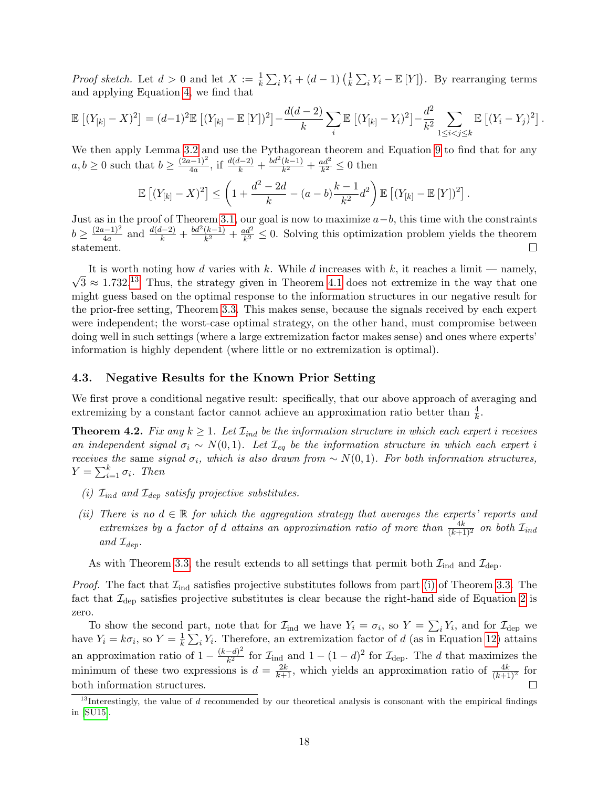*Proof sketch.* Let  $d > 0$  and let  $X := \frac{1}{k} \sum_i Y_i + (d - 1) \left(\frac{1}{k}\right)$  $\frac{1}{k} \sum_i Y_i - \mathbb{E}[Y]$ . By rearranging terms and applying Equation [4,](#page-12-5) we find that

$$
\mathbb{E}\left[ (Y_{[k]} - X)^2 \right] = (d-1)^2 \mathbb{E}\left[ (Y_{[k]} - \mathbb{E}[Y])^2 \right] - \frac{d(d-2)}{k} \sum_i \mathbb{E}\left[ (Y_{[k]} - Y_i)^2 \right] - \frac{d^2}{k^2} \sum_{1 \le i < j \le k} \mathbb{E}\left[ (Y_i - Y_j)^2 \right]
$$

.

We then apply Lemma [3.2](#page-12-4) and use the Pythagorean theorem and Equation [9](#page-13-3) to find that for any  $a, b \geq 0$  such that  $b \geq \frac{(2a-1)^2}{4a}$  $\frac{(k-1)^2}{4a}$ , if  $\frac{d(d-2)}{k} + \frac{bd^2(k-1)}{k^2}$  $\frac{(k-1)}{k^2} + \frac{ad^2}{k^2}$  $\frac{ud^2}{k^2} \leq 0$  then

$$
\mathbb{E}\left[ (Y_{[k]} - X)^2 \right] \le \left( 1 + \frac{d^2 - 2d}{k} - (a - b) \frac{k - 1}{k^2} d^2 \right) \mathbb{E}\left[ (Y_{[k]} - \mathbb{E}[Y])^2 \right].
$$

Just as in the proof of Theorem [3.1,](#page-12-1) our goal is now to maximize  $a-b$ , this time with the constraints  $b \geq \frac{(2a-1)^2}{4a}$  $\frac{d^{(k-1)/2}}{4a}$  and  $\frac{d(d-2)}{k} + \frac{bd^2(k-1)}{k^2}$  $\frac{(k-1)}{k^2} + \frac{ad^2}{k^2}$  $\frac{dd^2}{k^2} \leq 0$ . Solving this optimization problem yields the theorem statement.  $\Box$ 

It is worth noting now a varies with  $\kappa$ . While a increases with  $\kappa$ , it reaches a limit — namely,  $\sqrt{3} \approx 1.732^{13}$  $\sqrt{3} \approx 1.732^{13}$  $\sqrt{3} \approx 1.732^{13}$  Thus, the strategy given in Theorem [4.1](#page-17-1) does not extremize in the way that one It is worth noting how d varies with k. While d increases with k, it reaches a limit — namely, might guess based on the optimal response to the information structures in our negative result for the prior-free setting, Theorem [3.3.](#page-14-0) This makes sense, because the signals received by each expert were independent; the worst-case optimal strategy, on the other hand, must compromise between doing well in such settings (where a large extremization factor makes sense) and ones where experts' information is highly dependent (where little or no extremization is optimal).

### 4.3. Negative Results for the Known Prior Setting

We first prove a conditional negative result: specifically, that our above approach of averaging and extremizing by a constant factor cannot achieve an approximation ratio better than  $\frac{4}{k}$ .

<span id="page-18-0"></span>**Theorem 4.2.** Fix any  $k \geq 1$ . Let  $\mathcal{I}_{ind}$  be the information structure in which each expert i receives an independent signal  $\sigma_i \sim N(0, 1)$ . Let  $\mathcal{I}_{eq}$  be the information structure in which each expert i receives the same signal  $\sigma_i$ , which is also drawn from  $\sim N(0, 1)$ . For both information structures,  $Y = \sum_{i=1}^{k} \sigma_i$ . Then

- (i)  $\mathcal{I}_{ind}$  and  $\mathcal{I}_{den}$  satisfy projective substitutes.
- (ii) There is no  $d \in \mathbb{R}$  for which the aggregation strategy that averages the experts' reports and extremizes by a factor of d attains an approximation ratio of more than  $\frac{4k}{(k+1)^2}$  on both  $\mathcal{I}_{ind}$ and  $\mathcal{I}_{den}$ .

As with Theorem [3.3,](#page-14-0) the result extends to all settings that permit both  $\mathcal{I}_{ind}$  and  $\mathcal{I}_{dep}$ .

*Proof.* The fact that  $\mathcal{I}_{ind}$  satisfies projective substitutes follows from part [\(i\)](#page-14-4) of Theorem [3.3.](#page-14-0) The fact that  $\mathcal{I}_{\text{dep}}$  satisfies projective substitutes is clear because the right-hand side of Equation [2](#page-9-0) is zero.

To show the second part, note that for  $\mathcal{I}_{ind}$  we have  $Y_i = \sigma_i$ , so  $Y = \sum_i Y_i$ , and for  $\mathcal{I}_{dep}$  we have  $Y_i = k\sigma_i$ , so  $Y = \frac{1}{k}$  $\frac{1}{k} \sum_i Y_i$ . Therefore, an extremization factor of d (as in Equation [12\)](#page-17-2) attains an approximation ratio of  $1 - \frac{(k-d)^2}{k^2}$  $\frac{(-d)^2}{k^2}$  for  $\mathcal{I}_{ind}$  and  $1 - (1 - d)^2$  for  $\mathcal{I}_{dep}$ . The d that maximizes the minimum of these two expressions is  $d = \frac{2k}{k+1}$ , which yields an approximation ratio of  $\frac{4k}{(k+1)^2}$  for both information structures.

<span id="page-18-1"></span> $13$ Interestingly, the value of d recommended by our theoretical analysis is consonant with the empirical findings in [\[SU15\]](#page-21-1).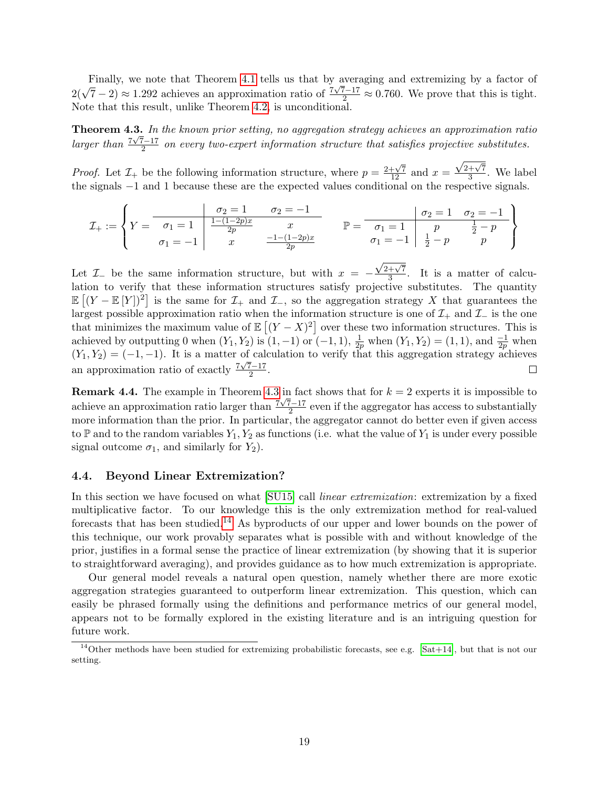Finally, we note that Theorem [4.1](#page-17-1) tells us that by averaging and extremizing by a factor of  $2(\sqrt{7}-2) \approx 1.292$  achieves an approximation ratio of  $\frac{7\sqrt{7}-17}{2} \approx 0.760$ . We prove that this is tight. Note that this result, unlike Theorem [4.2,](#page-18-0) is unconditional.

<span id="page-19-0"></span>**Theorem 4.3.** In the known prior setting, no aggregation strategy achieves an approximation ratio larger than  $\frac{7\sqrt{7}-17}{2}$  $\frac{2^{n-1}}{2}$  on every two-expert information structure that satisfies projective substitutes.

*Proof.* Let  $\mathcal{I}_+$  be the following information structure, where  $p = \frac{2+\sqrt{7}}{12}$  and  $x =$  $\sqrt{2+\sqrt{7}}$  $\frac{+\sqrt{7}}{3}$ . We label the signals −1 and 1 because these are the expected values conditional on the respective signals.

I<sup>+</sup> := Y = σ<sup>2</sup> = 1 σ<sup>2</sup> = −1 σ<sup>1</sup> = 1 <sup>1</sup>−(1−2p)<sup>x</sup> 2p x σ<sup>1</sup> = −1 x −1−(1−2p)x 2p P = σ<sup>2</sup> = 1 σ<sup>2</sup> = −1 σ<sup>1</sup> = 1 p 1 <sup>2</sup> − p σ<sup>1</sup> = −1 1 <sup>2</sup> − p p 

 $\sqrt{2+\sqrt{7}}$ Let  $\mathcal{I}_-$  be the same information structure, but with  $x = \frac{+\sqrt{7}}{3}$ . It is a matter of calculation to verify that these information structures satisfy projective substitutes. The quantity  $\mathbb{E}[(Y - \mathbb{E}[Y])^2]$  is the same for  $\mathcal{I}_+$  and  $\mathcal{I}_-$ , so the aggregation strategy X that guarantees the largest possible approximation ratio when the information structure is one of  $\mathcal{I}_+$  and  $\mathcal{I}_-$  is the one that minimizes the maximum value of  $\mathbb{E}[(Y-X)^2]$  over these two information structures. This is achieved by outputting 0 when  $(Y_1, Y_2)$  is  $(1, -1)$  or  $(-1, 1)$ ,  $\frac{1}{2p}$  when  $(Y_1, Y_2) = (1, 1)$ , and  $\frac{-1}{2p}$  when  $(Y_1, Y_2) = (-1, -1)$ . It is a matter of calculation to verify that this aggregation strategy achieves an approximation ratio of exactly  $\frac{7\sqrt{7}-17}{2}$  $rac{(-17)}{2}$ .  $\Box$ 

**Remark 4.4.** The example in Theorem [4.3](#page-19-0) in fact shows that for  $k = 2$  experts it is impossible to achieve an approximation ratio larger than  $\frac{7\sqrt{7}-17}{2}$  $\frac{2}{2}$  even if the aggregator has access to substantially more information than the prior. In particular, the aggregator cannot do better even if given access to  $\mathbb P$  and to the random variables  $Y_1, Y_2$  as functions (i.e. what the value of  $Y_1$  is under every possible signal outcome  $\sigma_1$ , and similarly for  $Y_2$ ).

### 4.4. Beyond Linear Extremization?

In this section we have focused on what [\[SU15\]](#page-21-1) call *linear extremization*: extremization by a fixed multiplicative factor. To our knowledge this is the only extremization method for real-valued forecasts that has been studied.<sup>[14](#page-19-1)</sup> As byproducts of our upper and lower bounds on the power of this technique, our work provably separates what is possible with and without knowledge of the prior, justifies in a formal sense the practice of linear extremization (by showing that it is superior to straightforward averaging), and provides guidance as to how much extremization is appropriate.

Our general model reveals a natural open question, namely whether there are more exotic aggregation strategies guaranteed to outperform linear extremization. This question, which can easily be phrased formally using the definitions and performance metrics of our general model, appears not to be formally explored in the existing literature and is an intriguing question for future work.

<span id="page-19-1"></span><sup>&</sup>lt;sup>14</sup>Other methods have been studied for extremizing probabilistic forecasts, see e.g. [\[Sat+14\]](#page-21-0), but that is not our setting.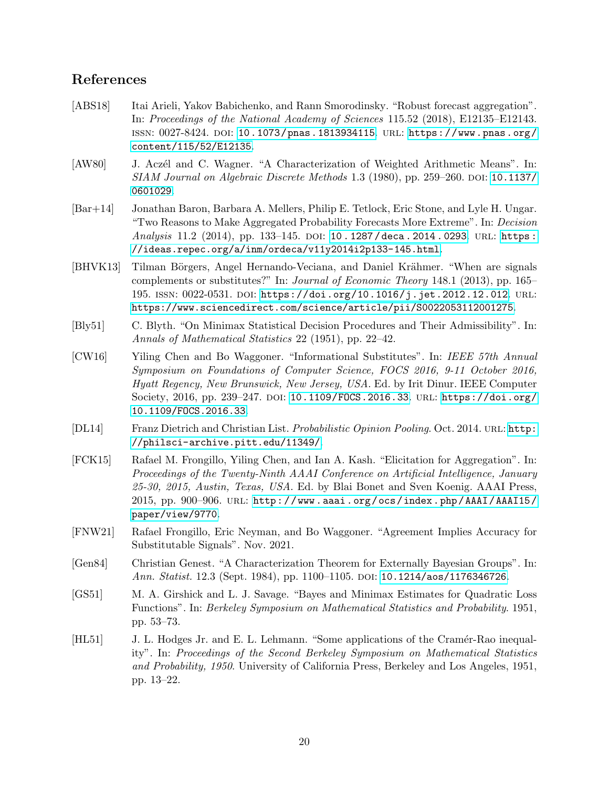## References

- <span id="page-20-6"></span>[ABS18] Itai Arieli, Yakov Babichenko, and Rann Smorodinsky. "Robust forecast aggregation". In: Proceedings of the National Academy of Sciences 115.52 (2018), E12135–E12143. issn: 0027-8424. doi: [10.1073/pnas.1813934115](https://doi.org/10.1073/pnas.1813934115). url: [https://www.pnas.org/](https://www.pnas.org/content/115/52/E12135) [content/115/52/E12135](https://www.pnas.org/content/115/52/E12135).
- <span id="page-20-2"></span>[AW80] J. Aczél and C. Wagner. "A Characterization of Weighted Arithmetic Means". In:  $SIAM$  Journal on Algebraic Discrete Methods 1.3 (1980), pp. 259–260. DOI: [10.1137/](https://doi.org/10.1137/0601029) [0601029](https://doi.org/10.1137/0601029).
- <span id="page-20-1"></span>[Bar+14] Jonathan Baron, Barbara A. Mellers, Philip E. Tetlock, Eric Stone, and Lyle H. Ungar. "Two Reasons to Make Aggregated Probability Forecasts More Extreme". In: Decision Analysis 11.2 (2014), pp. 133-145. DOI: 10.1287/deca.2014.0293. URL: https: [//ideas.repec.org/a/inm/ordeca/v11y2014i2p133-145.html](https://ideas.repec.org/a/inm/ordeca/v11y2014i2p133-145.html).
- <span id="page-20-7"></span>[BHVK13] Tilman Börgers, Angel Hernando-Veciana, and Daniel Krähmer. "When are signals complements or substitutes?" In: Journal of Economic Theory 148.1 (2013), pp. 165– 195. issn: 0022-0531. doi: [https://doi.org/10.1016/j.jet.2012.12.012](https://doi.org/https://doi.org/10.1016/j.jet.2012.12.012). url: <https://www.sciencedirect.com/science/article/pii/S0022053112001275>.
- <span id="page-20-9"></span>[Bly51] C. Blyth. "On Minimax Statistical Decision Procedures and Their Admissibility". In: Annals of Mathematical Statistics 22 (1951), pp. 22–42.
- <span id="page-20-0"></span>[CW16] Yiling Chen and Bo Waggoner. "Informational Substitutes". In: IEEE 57th Annual Symposium on Foundations of Computer Science, FOCS 2016, 9-11 October 2016, Hyatt Regency, New Brunswick, New Jersey, USA. Ed. by Irit Dinur. IEEE Computer Society, 2016, pp. 239–247. DOI: [10.1109/FOCS.2016.33](https://doi.org/10.1109/FOCS.2016.33). URL: [https://doi.org/](https://doi.org/10.1109/FOCS.2016.33) [10.1109/FOCS.2016.33](https://doi.org/10.1109/FOCS.2016.33).
- <span id="page-20-4"></span>[DL14] Franz Dietrich and Christian List. Probabilistic Opinion Pooling. Oct. 2014. URL: [http:](http://philsci-archive.pitt.edu/11349/) [//philsci-archive.pitt.edu/11349/](http://philsci-archive.pitt.edu/11349/).
- <span id="page-20-5"></span>[FCK15] Rafael M. Frongillo, Yiling Chen, and Ian A. Kash. "Elicitation for Aggregation". In: Proceedings of the Twenty-Ninth AAAI Conference on Artificial Intelligence, January 25-30, 2015, Austin, Texas, USA. Ed. by Blai Bonet and Sven Koenig. AAAI Press, 2015, pp. 900–906. URL: http://www.aaai.org/ocs/index.php/AAAI/AAAI15/ [paper/view/9770](http://www.aaai.org/ocs/index.php/AAAI/AAAI15/paper/view/9770).
- <span id="page-20-8"></span>[FNW21] Rafael Frongillo, Eric Neyman, and Bo Waggoner. "Agreement Implies Accuracy for Substitutable Signals". Nov. 2021.
- <span id="page-20-3"></span>[Gen84] Christian Genest. "A Characterization Theorem for Externally Bayesian Groups". In: Ann. Statist. 12.3 (Sept. 1984), pp. 1100–1105. doi: [10.1214/aos/1176346726](https://doi.org/10.1214/aos/1176346726).
- <span id="page-20-10"></span>[GS51] M. A. Girshick and L. J. Savage. "Bayes and Minimax Estimates for Quadratic Loss Functions". In: Berkeley Symposium on Mathematical Statistics and Probability. 1951, pp. 53–73.
- <span id="page-20-11"></span>[HL51] J. L. Hodges Jr. and E. L. Lehmann. "Some applications of the Cramér-Rao inequality". In: Proceedings of the Second Berkeley Symposium on Mathematical Statistics and Probability, 1950. University of California Press, Berkeley and Los Angeles, 1951, pp. 13–22.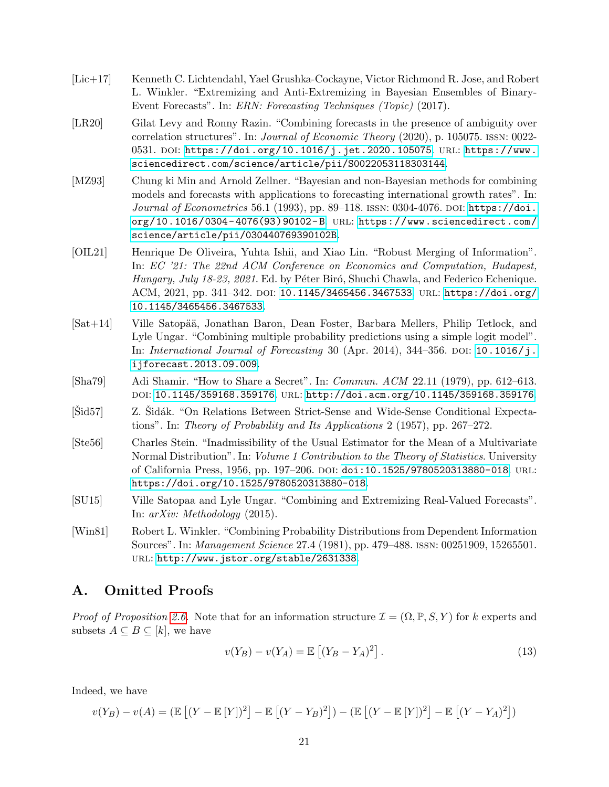- <span id="page-21-4"></span>[Lic+17] Kenneth C. Lichtendahl, Yael Grushka-Cockayne, Victor Richmond R. Jose, and Robert L. Winkler. "Extremizing and Anti-Extremizing in Bayesian Ensembles of Binary-Event Forecasts". In: ERN: Forecasting Techniques (Topic) (2017).
- <span id="page-21-5"></span>[LR20] Gilat Levy and Ronny Razin. "Combining forecasts in the presence of ambiguity over correlation structures". In: *Journal of Economic Theory* (2020), p. 105075. ISSN: 0022-0531. doi: [https://doi.org/10.1016/j.jet.2020.105075](https://doi.org/https://doi.org/10.1016/j.jet.2020.105075). url: [https://www.](https://www.sciencedirect.com/science/article/pii/S0022053118303144) [sciencedirect.com/science/article/pii/S0022053118303144](https://www.sciencedirect.com/science/article/pii/S0022053118303144).
- <span id="page-21-3"></span>[MZ93] Chung ki Min and Arnold Zellner. "Bayesian and non-Bayesian methods for combining models and forecasts with applications to forecasting international growth rates". In: Journal of Econometrics 56.1 (1993), pp. 89–118. ISSN: 0304-4076. DOI: [https://doi.](https://doi.org/https://doi.org/10.1016/0304-4076(93)90102-B) [org/10.1016/0304- 4076\(93\)90102- B](https://doi.org/https://doi.org/10.1016/0304-4076(93)90102-B). url: [https://www.sciencedirect.com/](https://www.sciencedirect.com/science/article/pii/030440769390102B) [science/article/pii/030440769390102B](https://www.sciencedirect.com/science/article/pii/030440769390102B).
- <span id="page-21-6"></span>[OIL21] Henrique De Oliveira, Yuhta Ishii, and Xiao Lin. "Robust Merging of Information". In: EC '21: The 22nd ACM Conference on Economics and Computation, Budapest, Hungary, July 18-23, 2021. Ed. by Péter Biró, Shuchi Chawla, and Federico Echenique. ACM, 2021, pp. 341–342. DOI: [10.1145/3465456.3467533](https://doi.org/10.1145/3465456.3467533). URL: [https://doi.org/](https://doi.org/10.1145/3465456.3467533) [10.1145/3465456.3467533](https://doi.org/10.1145/3465456.3467533).
- <span id="page-21-0"></span>[Sat+14] Ville Satop¨a¨a, Jonathan Baron, Dean Foster, Barbara Mellers, Philip Tetlock, and Lyle Ungar. "Combining multiple probability predictions using a simple logit model". In: International Journal of Forecasting 30 (Apr. 2014), 344–356. doi: [10.1016/j.](https://doi.org/10.1016/j.ijforecast.2013.09.009) [ijforecast.2013.09.009](https://doi.org/10.1016/j.ijforecast.2013.09.009).
- <span id="page-21-8"></span>[Sha79] Adi Shamir. "How to Share a Secret". In: Commun. ACM 22.11 (1979), pp. 612–613. doi: [10.1145/359168.359176](https://doi.org/10.1145/359168.359176). url: <http://doi.acm.org/10.1145/359168.359176>.
- <span id="page-21-9"></span>[Sid57] Z. Sidák. "On Relations Between Strict-Sense and Wide-Sense Conditional Expectations". In: Theory of Probability and Its Applications 2 (1957), pp. 267–272.
- <span id="page-21-10"></span>[Ste56] Charles Stein. "Inadmissibility of the Usual Estimator for the Mean of a Multivariate Normal Distribution". In: *Volume 1 Contribution to the Theory of Statistics*. University of California Press, 1956, pp. 197–206. doi: [doi:10.1525/9780520313880-018](https://doi.org/doi:10.1525/9780520313880-018). url: <https://doi.org/10.1525/9780520313880-018>.
- <span id="page-21-1"></span>[SU15] Ville Satopaa and Lyle Ungar. "Combining and Extremizing Real-Valued Forecasts". In: arXiv: Methodology (2015).
- <span id="page-21-2"></span>[Win81] Robert L. Winkler. "Combining Probability Distributions from Dependent Information Sources". In: Management Science 27.4 (1981), pp. 479–488. issn: 00251909, 15265501. url: <http://www.jstor.org/stable/2631338>.

### <span id="page-21-7"></span>A. Omitted Proofs

*Proof of Proposition [2.6.](#page-9-2)* Note that for an information structure  $\mathcal{I} = (\Omega, \mathbb{P}, S, Y)$  for k experts and subsets  $A \subseteq B \subseteq [k]$ , we have

<span id="page-21-11"></span>
$$
v(Y_B) - v(Y_A) = \mathbb{E} \left[ (Y_B - Y_A)^2 \right]. \tag{13}
$$

Indeed, we have

$$
v(Y_B) - v(A) = (\mathbb{E}[(Y - \mathbb{E}[Y])^2] - \mathbb{E}[(Y - Y_B)^2]) - (\mathbb{E}[(Y - \mathbb{E}[Y])^2] - \mathbb{E}[(Y - Y_A)^2])
$$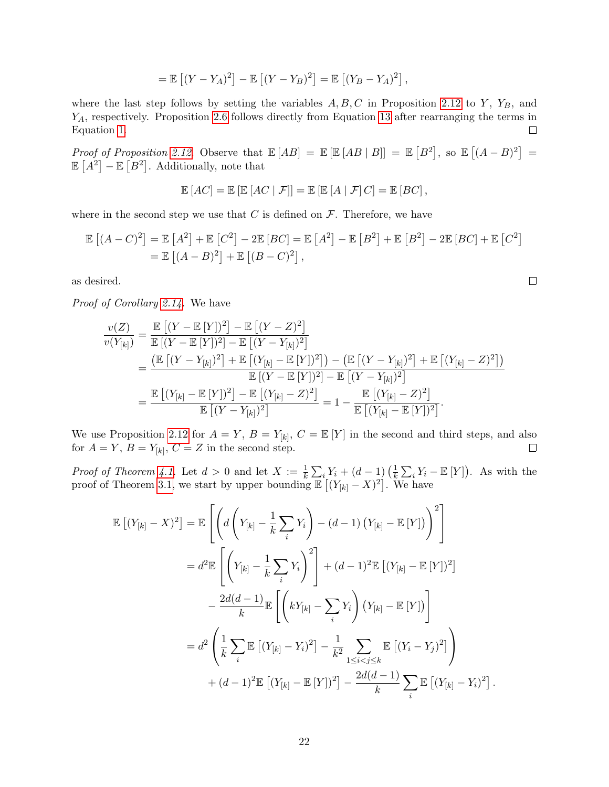$$
= \mathbb{E}\left[ (Y - Y_A)^2 \right] - \mathbb{E}\left[ (Y - Y_B)^2 \right] = \mathbb{E}\left[ (Y_B - Y_A)^2 \right],
$$

where the last step follows by setting the variables  $A, B, C$  in Proposition [2.12](#page-11-4) to Y,  $Y_B$ , and Y<sub>A</sub>, respectively. Proposition [2.6](#page-9-2) follows directly from Equation [13](#page-21-11) after rearranging the terms in Equation [1.](#page-7-2)  $\Box$ 

Proof of Proposition [2.12.](#page-11-4) Observe that  $\mathbb{E}[AB] = \mathbb{E}[EB \mid AB] = \mathbb{E}[B^2]$ , so  $\mathbb{E}[(A - B)^2] =$  $\mathbb{E}[A^2] - \mathbb{E}[B^2]$ . Additionally, note that

$$
\mathbb{E}[AC] = \mathbb{E}[ \mathbb{E}[AC | \mathcal{F}]] = \mathbb{E}[ \mathbb{E}[A | \mathcal{F}]C] = \mathbb{E}[BC],
$$

where in the second step we use that  $C$  is defined on  $\mathcal F$ . Therefore, we have

$$
\mathbb{E}\left[(A-C)^2\right] = \mathbb{E}\left[A^2\right] + \mathbb{E}\left[C^2\right] - 2\mathbb{E}\left[BC\right] = \mathbb{E}\left[A^2\right] - \mathbb{E}\left[B^2\right] + \mathbb{E}\left[B^2\right] - 2\mathbb{E}\left[BC\right] + \mathbb{E}\left[C^2\right]
$$

$$
= \mathbb{E}\left[(A-B)^2\right] + \mathbb{E}\left[(B-C)^2\right],
$$

as desired.

Proof of Corollary [2.14.](#page-12-2) We have

$$
\frac{v(Z)}{v(Y_{[k]})} = \frac{\mathbb{E}[(Y - \mathbb{E}[Y])^2] - \mathbb{E}[(Y - Z)^2]}{\mathbb{E}[(Y - \mathbb{E}[Y])^2] - \mathbb{E}[(Y - Y_{[k]})^2]} \n= \frac{(\mathbb{E}[(Y - \mathbb{E}[Y])^2] + \mathbb{E}[(Y_{[k]} - \mathbb{E}[Y])^2]) - (\mathbb{E}[(Y - Y_{[k]})^2] + \mathbb{E}[(Y_{[k]} - Z)^2])}{\mathbb{E}[(Y - \mathbb{E}[Y])^2] - \mathbb{E}[(Y - Y_{[k]})^2]} \n= \frac{\mathbb{E}[(Y_{[k]} - \mathbb{E}[Y])^2] - \mathbb{E}[(Y_{[k]} - Z)^2]}{\mathbb{E}[(Y - Y_{[k]})^2]} = 1 - \frac{\mathbb{E}[(Y_{[k]} - Z)^2]}{\mathbb{E}[(Y_{[k]} - \mathbb{E}[Y])^2]}.
$$

We use Proposition [2.12](#page-11-4) for  $A = Y$ ,  $B = Y_{[k]}$ ,  $C = \mathbb{E}[Y]$  in the second and third steps, and also for  $A = Y$ ,  $B = Y_{[k]}$ ,  $C = Z$  in the second step.  $\Box$ 

*Proof of Theorem [4.1.](#page-17-1)* Let  $d > 0$  and let  $X := \frac{1}{k} \sum_{i} Y_i + (d - 1) \left( \frac{1}{k} \right)$  $\frac{1}{k} \sum_i Y_i - \mathbb{E}[Y]$ . As with the proof of Theorem [3.1,](#page-12-1) we start by upper bounding  $\mathbb{E}[(Y_{[k]}-X)^2]$ . We have

$$
\mathbb{E}\left[ (Y_{[k]} - X)^2 \right] = \mathbb{E}\left[ \left( d \left( Y_{[k]} - \frac{1}{k} \sum_{i} Y_i \right) - (d - 1) \left( Y_{[k]} - \mathbb{E}\left[ Y \right] \right) \right)^2 \right]
$$
  
\n
$$
= d^2 \mathbb{E}\left[ \left( Y_{[k]} - \frac{1}{k} \sum_{i} Y_i \right)^2 \right] + (d - 1)^2 \mathbb{E}\left[ (Y_{[k]} - \mathbb{E}\left[ Y \right])^2 \right]
$$
  
\n
$$
- \frac{2d(d - 1)}{k} \mathbb{E}\left[ \left( k Y_{[k]} - \sum_{i} Y_i \right) \left( Y_{[k]} - \mathbb{E}\left[ Y \right] \right) \right]
$$
  
\n
$$
= d^2 \left( \frac{1}{k} \sum_{i} \mathbb{E}\left[ (Y_{[k]} - Y_i)^2 \right] - \frac{1}{k^2} \sum_{1 \le i < j \le k} \mathbb{E}\left[ (Y_i - Y_j)^2 \right] \right)
$$
  
\n
$$
+ (d - 1)^2 \mathbb{E}\left[ (Y_{[k]} - \mathbb{E}\left[ Y \right])^2 \right] - \frac{2d(d - 1)}{k} \sum_{i} \mathbb{E}\left[ (Y_{[k]} - Y_i)^2 \right]
$$

.

 $\Box$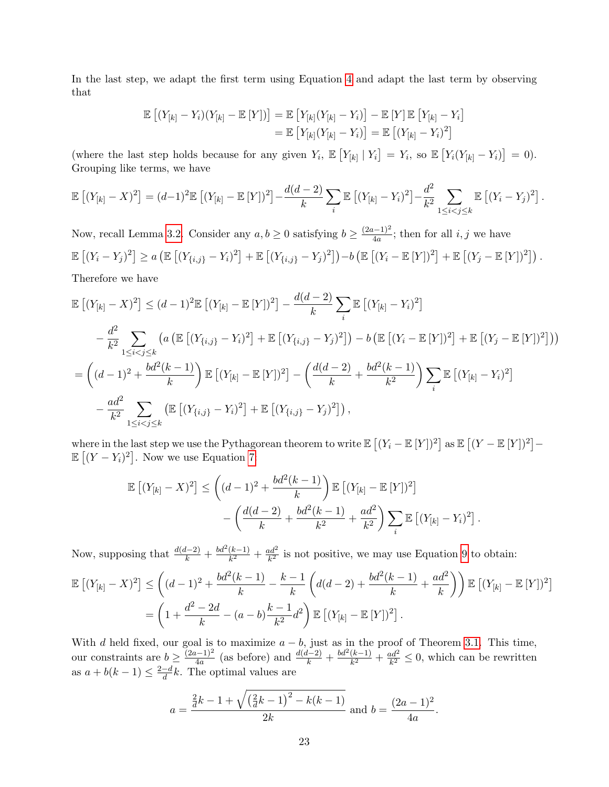In the last step, we adapt the first term using Equation [4](#page-12-5) and adapt the last term by observing that

$$
\mathbb{E}\left[(Y_{[k]}-Y_i)(Y_{[k]}-\mathbb{E}\left[Y\right])\right]=\mathbb{E}\left[Y_{[k]}(Y_{[k]}-Y_i)\right]-\mathbb{E}\left[Y\right]\mathbb{E}\left[Y_{[k]}-Y_i\right]
$$
\n
$$
=\mathbb{E}\left[Y_{[k]}(Y_{[k]}-Y_i)\right]=\mathbb{E}\left[(Y_{[k]}-Y_i)^2\right]
$$

(where the last step holds because for any given  $Y_i$ ,  $\mathbb{E}\left[Y_{[k]} \mid Y_i\right] = Y_i$ , so  $\mathbb{E}\left[Y_i(Y_{[k]} - Y_i)\right] = 0$ ). Grouping like terms, we have

$$
\mathbb{E}\left[(Y_{[k]}-X)^2\right]=(d-1)^2\mathbb{E}\left[(Y_{[k]}-\mathbb{E}\left[Y\right])^2\right]-\frac{d(d-2)}{k}\sum_i\mathbb{E}\left[(Y_{[k]}-Y_i)^2\right]-\frac{d^2}{k^2}\sum_{1\leq i
$$

Now, recall Lemma [3.2.](#page-12-4) Consider any  $a, b \geq 0$  satisfying  $b \geq \frac{(2a-1)^2}{4a}$  $\frac{i-1}{4a}$ ; then for all *i*, *j* we have  $\mathbb{E}\left[(Y_i - Y_j)^2\right] \ge a \left(\mathbb{E}\left[(Y_{\{i,j\}} - Y_i)^2\right] + \mathbb{E}\left[(Y_{\{i,j\}} - Y_j)^2\right]\right) - b \left(\mathbb{E}\left[(Y_i - \mathbb{E}\left[Y\right])^2\right] + \mathbb{E}\left[(Y_j - \mathbb{E}\left[Y\right])^2\right]\right).$ 

Therefore we have

$$
\mathbb{E}\left[(Y_{[k]} - X)^2\right] \leq (d-1)^2 \mathbb{E}\left[(Y_{[k]} - \mathbb{E}\left[Y\right])^2\right] - \frac{d(d-2)}{k} \sum_i \mathbb{E}\left[(Y_{[k]} - Y_i)^2\right] \n- \frac{d^2}{k^2} \sum_{1 \leq i < j \leq k} \left(a \left(\mathbb{E}\left[(Y_{\{i,j\}} - Y_i)^2\right] + \mathbb{E}\left[(Y_{\{i,j\}} - Y_j)^2\right]\right) - b \left(\mathbb{E}\left[(Y_i - \mathbb{E}\left[Y\right])^2\right] + \mathbb{E}\left[(Y_j - \mathbb{E}\left[Y\right])^2\right]\right)\right) \n= \left((d-1)^2 + \frac{bd^2(k-1)}{k}\right) \mathbb{E}\left[(Y_{[k]} - \mathbb{E}\left[Y\right])^2\right] - \left(\frac{d(d-2)}{k} + \frac{bd^2(k-1)}{k^2}\right) \sum_i \mathbb{E}\left[(Y_{[k]} - Y_i)^2\right] \n- \frac{ad^2}{k^2} \sum_{1 \leq i < j \leq k} \left(\mathbb{E}\left[(Y_{\{i,j\}} - Y_i)^2\right] + \mathbb{E}\left[(Y_{\{i,j\}} - Y_j)^2\right]\right),
$$

where in the last step we use the Pythagorean theorem to write  $\mathbb{E}[(Y_i - \mathbb{E}[Y])^2]$  as  $\mathbb{E}[(Y - \mathbb{E}[Y])^2] \mathbb{E}[(Y-Y_i)^2]$ . Now we use Equation [7:](#page-13-0)

$$
\mathbb{E}\left[(Y_{[k]} - X)^2\right] \le \left((d-1)^2 + \frac{bd^2(k-1)}{k}\right) \mathbb{E}\left[(Y_{[k]} - \mathbb{E}\left[Y\right])^2\right] - \left(\frac{d(d-2)}{k} + \frac{bd^2(k-1)}{k^2} + \frac{ad^2}{k^2}\right) \sum_i \mathbb{E}\left[(Y_{[k]} - Y_i)^2\right].
$$

Now, supposing that  $\frac{d(d-2)}{k} + \frac{bd^2(k-1)}{k^2}$  $\frac{(k-1)}{k^2} + \frac{ad^2}{k^2}$  $\frac{da^2}{k^2}$  is not positive, we may use Equation [9](#page-13-3) to obtain:

$$
\mathbb{E}\left[(Y_{[k]} - X)^2\right] \leq \left((d-1)^2 + \frac{bd^2(k-1)}{k} - \frac{k-1}{k}\left(d(d-2) + \frac{bd^2(k-1)}{k} + \frac{ad^2}{k}\right)\right) \mathbb{E}\left[(Y_{[k]} - \mathbb{E}[Y])^2\right]
$$

$$
= \left(1 + \frac{d^2 - 2d}{k} - (a-b)\frac{k-1}{k^2}d^2\right) \mathbb{E}\left[(Y_{[k]} - \mathbb{E}[Y])^2\right].
$$

With d held fixed, our goal is to maximize  $a - b$ , just as in the proof of Theorem [3.1.](#page-12-1) This time, our constraints are  $b \geq \frac{(2a-1)^2}{4a}$  $\frac{(k-1)^2}{4a}$  (as before) and  $\frac{d(d-2)}{k} + \frac{bd^2(k-1)}{k^2}$  $\frac{(k-1)}{k^2} + \frac{ad^2}{k^2}$  $\frac{ad^2}{k^2} \leq 0$ , which can be rewritten as  $a + b(k-1) \leq \frac{2-d}{d}$  $\frac{-d}{d}k$ . The optimal values are

$$
a = \frac{\frac{2}{d}k - 1 + \sqrt{\left(\frac{2}{d}k - 1\right)^2 - k(k - 1)}}{2k}
$$
 and  $b = \frac{(2a - 1)^2}{4a}$ .